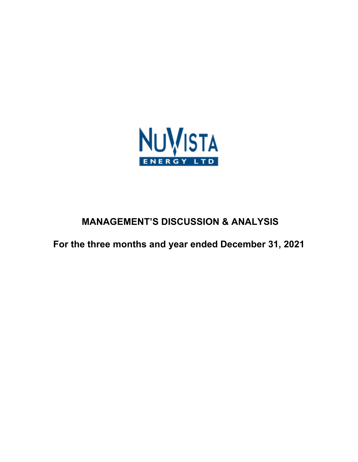

# **MANAGEMENT'S DISCUSSION & ANALYSIS**

**For the three months and year ended December 31, 2021**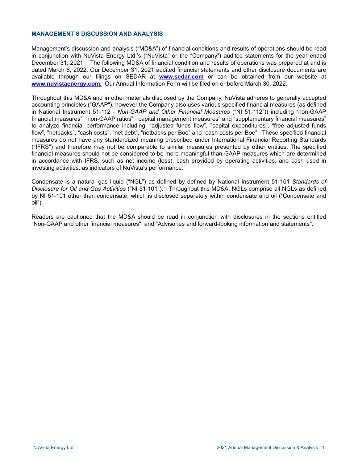## **MANAGEMENT'S DISCUSSION AND ANALYSIS**

Management's discussion and analysis ("MD&A") of financial conditions and results of operations should be read in conjunction with NuVista Energy Ltd.'s ("NuVista" or the "Company") audited statements for the year ended December 31, 2021. The following MD&A of financial condition and results of operations was prepared at and is dated March 8, 2022. Our December 31, 2021 audited financial statements and other disclosure documents are available through our filings on SEDAR at **[www.sedar.com](http://www.sedar.com)** or can be obtained from our website at **[www.nuvistaenergy.com](http://www.nuvistaenergy.com).** Our Annual Information Form will be filed on or before March 30, 2022.

Throughout this MD&A and in other materials disclosed by the Company, NuVista adheres to generally accepted accounting principles ("GAAP"), however the Company also uses various specified financial measures (as defined in National Instrument 51-112 - *Non-GAAP and Other Financial Measures* ("NI 51-112")) including "non-GAAP financial measures", "non-GAAP ratios", "capital management measures" and "supplementary financial measures" to analyze financial performance including, "adjusted funds flow", "capital expenditures", "free adjusted funds flow", "netbacks", "cash costs", "net debt", "netbacks per Boe" and "cash costs per Boe". These specified financial measures do not have any standardized meaning prescribed under International Financial Reporting Standards ("IFRS") and therefore may not be comparable to similar measures presented by other entities. The specified financial measures should not be considered to be more meaningful than GAAP measures which are determined in accordance with IFRS, such as net income (loss), cash provided by operating activities, and cash used in investing activities, as indicators of NuVista's performance.

Condensate is a natural gas liquid ("NGL") as defined by defined by National Instrument 51-101 *Standards of Disclosure for Oil and Gas Activities* ("NI 51-101"). Throughout this MD&A, NGLs comprise all NGLs as defined by NI 51-101 other than condensate, which is disclosed separately within condensate and oil ("Condensate and oil").

Readers are cautioned that the MD&A should be read in conjunction with disclosures in the sections entitled "Non-GAAP and other financial measures", and "Advisories and forward-looking information and statements".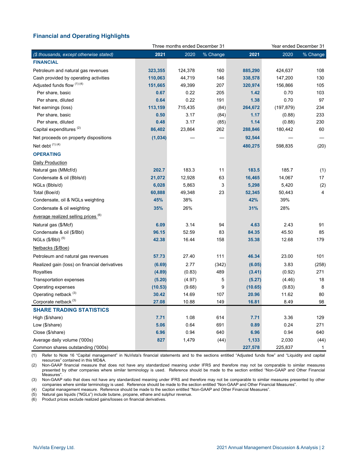# **Financial and Operating Highlights**

|                                                 |         | Three months ended December 31 |          |         | Year ended December 31 |          |  |  |
|-------------------------------------------------|---------|--------------------------------|----------|---------|------------------------|----------|--|--|
| (\$ thousands, except otherwise stated)         | 2021    | 2020                           | % Change | 2021    | 2020                   | % Change |  |  |
| <b>FINANCIAL</b>                                |         |                                |          |         |                        |          |  |  |
| Petroleum and natural gas revenues              | 323,355 | 124,378                        | 160      | 885,290 | 424,637                | 108      |  |  |
| Cash provided by operating activities           | 110,063 | 44,719                         | 146      | 338,578 | 147,200                | 130      |  |  |
| Adjusted funds flow (1) (4)                     | 151,665 | 49,399                         | 207      | 320,974 | 156,866                | 105      |  |  |
| Per share, basic                                | 0.67    | 0.22                           | 205      | 1.42    | 0.70                   | 103      |  |  |
| Per share, diluted                              | 0.64    | 0.22                           | 191      | 1.38    | 0.70                   | 97       |  |  |
| Net earnings (loss)                             | 113,159 | 715,435                        | (84)     | 264,672 | (197, 879)             | 234      |  |  |
| Per share, basic                                | 0.50    | 3.17                           | (84)     | 1.17    | (0.88)                 | 233      |  |  |
| Per share, diluted                              | 0.48    | 3.17                           | (85)     | 1.14    | (0.88)                 | 230      |  |  |
| Capital expenditures <sup>(2)</sup>             | 86,402  | 23,864                         | 262      | 288,846 | 180,442                | 60       |  |  |
| Net proceeds on property dispositions           | (1,034) |                                |          | 92,544  |                        |          |  |  |
| Net debt (1) (4)                                |         |                                |          | 480,275 | 598,835                | (20)     |  |  |
| <b>OPERATING</b>                                |         |                                |          |         |                        |          |  |  |
| <b>Daily Production</b>                         |         |                                |          |         |                        |          |  |  |
| Natural gas (MMcf/d)                            | 202.7   | 183.3                          | 11       | 183.5   | 185.7                  | (1)      |  |  |
| Condensate & oil (Bbls/d)                       | 21,072  | 12,928                         | 63       | 16,465  | 14,067                 | 17       |  |  |
| NGLs (Bbls/d)                                   | 6,028   | 5,863                          | 3        | 5,298   | 5,420                  | (2)      |  |  |
| Total (Boe/d)                                   | 60,888  | 49,348                         | 23       | 52,345  | 50,443                 | 4        |  |  |
| Condensate, oil & NGLs weighting                | 45%     | 38%                            |          | 42%     | 39%                    |          |  |  |
| Condensate & oil weighting                      | 35%     | 26%                            |          | 31%     | 28%                    |          |  |  |
| Average realized selling prices. <sup>(6)</sup> |         |                                |          |         |                        |          |  |  |
| Natural gas (\$/Mcf)                            | 6.09    | 3.14                           | 94       | 4.63    | 2.43                   | 91       |  |  |
| Condensate & oil (\$/Bbl)                       | 96.15   | 52.59                          | 83       | 84.35   | 45.50                  | 85       |  |  |
| NGLs $(\frac{6}{B}$ bl) $(5)$                   | 42.38   | 16.44                          | 158      | 35.38   | 12.68                  | 179      |  |  |
| Netbacks (\$/Boe)                               |         |                                |          |         |                        |          |  |  |
| Petroleum and natural gas revenues              | 57.73   | 27.40                          | 111      | 46.34   | 23.00                  | 101      |  |  |
| Realized gain (loss) on financial derivatives   | (6.69)  | 2.77                           | (342)    | (6.05)  | 3.83                   | (258)    |  |  |
| Royalties                                       | (4.89)  | (0.83)                         | 489      | (3.41)  | (0.92)                 | 271      |  |  |
| Transportation expenses                         | (5.20)  | (4.97)                         | 5        | (5.27)  | (4.46)                 | 18       |  |  |
| Operating expenses                              | (10.53) | (9.68)                         | 9        | (10.65) | (9.83)                 | 8        |  |  |
| Operating netback (3)                           | 30.42   | 14.69                          | 107      | 20.96   | 11.62                  | 80       |  |  |
| Corporate netback <sup>(3)</sup>                | 27.08   | 10.88                          | 149      | 16.81   | 8.49                   | 98       |  |  |
| <b>SHARE TRADING STATISTICS</b>                 |         |                                |          |         |                        |          |  |  |
| High (\$/share)                                 | 7.71    | 1.08                           | 614      | 7.71    | 3.36                   | 129      |  |  |
| Low (\$/share)                                  | 5.06    | 0.64                           | 691      | 0.89    | 0.24                   | 271      |  |  |
| Close (\$/share)                                | 6.96    | 0.94                           | 640      | 6.96    | 0.94                   | 640      |  |  |
| Average daily volume ('000s)                    | 827     | 1,479                          | (44)     | 1,133   | 2,030                  | (44)     |  |  |
| Common shares outstanding ('000s)               |         |                                |          | 227,578 | 225,837                | 1        |  |  |

(1) Refer to Note 16 "Capital management" in NuVista's financial statements and to the sections entitled "Adjusted funds flow" and "Liquidity and capital resources" contained in this MD&A.

(2) Non-GAAP financial measure that does not have any standardized meaning under IFRS and therefore may not be comparable to similar measures presented by other companies where similar terminology is used. Reference should be made to the section entitled "Non-GAAP and Other Financial Measures".

(3) Non-GAAP ratio that does not have any standardized meaning under IFRS and therefore may not be comparable to similar measures presented by other companies where similar terminology is used. Reference should be made to the section entitled "Non-GAAP and Other Financial Measures".

(4) Capital management measure. Reference should be made to the section entitled "Non-GAAP and Other Financial Measures".

(5) Natural gas liquids ("NGLs") include butane, propane, ethane and sulphur revenue.

(6) Product prices exclude realized gains/losses on financial derivatives.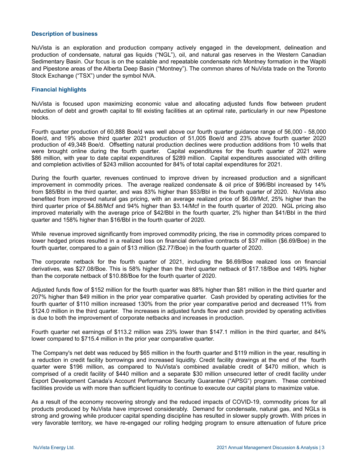#### **Description of business**

NuVista is an exploration and production company actively engaged in the development, delineation and production of condensate, natural gas liquids ("NGL"), oil, and natural gas reserves in the Western Canadian Sedimentary Basin. Our focus is on the scalable and repeatable condensate rich Montney formation in the Wapiti and Pipestone areas of the Alberta Deep Basin ("Montney"). The common shares of NuVista trade on the Toronto Stock Exchange ("TSX") under the symbol NVA.

## **Financial highlights**

NuVista is focused upon maximizing economic value and allocating adjusted funds flow between prudent reduction of debt and growth capital to fill existing facilities at an optimal rate, particularly in our new Pipestone blocks.

Fourth quarter production of 60,888 Boe/d was well above our fourth quarter guidance range of 56,000 - 58,000 Boe/d, and 19% above third quarter 2021 production of 51,005 Boe/d and 23% above fourth quarter 2020 production of 49,348 Boe/d. Offsetting natural production declines were production additions from 10 wells that were brought online during the fourth quarter. Capital expenditures for the fourth quarter of 2021 were \$86 million, with year to date capital expenditures of \$289 million. Capital expenditures associated with drilling and completion activities of \$243 million accounted for 84% of total capital expenditures for 2021.

During the fourth quarter, revenues continued to improve driven by increased production and a significant improvement in commodity prices. The average realized condensate & oil price of \$96/Bbl increased by 14% from \$85/Bbl in the third quarter, and was 83% higher than \$53/Bbl in the fourth quarter of 2020. NuVista also benefited from improved natural gas pricing, with an average realized price of \$6.09/Mcf, 25% higher than the third quarter price of \$4.88/Mcf and 94% higher than \$3.14/Mcf in the fourth quarter of 2020. NGL pricing also improved materially with the average price of \$42/Bbl in the fourth quarter, 2% higher than \$41/Bbl in the third quarter and 158% higher than \$16/Bbl in the fourth quarter of 2020.

While revenue improved significantly from improved commodity pricing, the rise in commodity prices compared to lower hedged prices resulted in a realized loss on financial derivative contracts of \$37 million (\$6.69/Boe) in the fourth quarter, compared to a gain of \$13 million (\$2.77/Boe) in the fourth quarter of 2020.

The corporate netback for the fourth quarter of 2021, including the \$6.69/Boe realized loss on financial derivatives, was \$27.08/Boe. This is 58% higher than the third quarter netback of \$17.18/Boe and 149% higher than the corporate netback of \$10.88/Boe for the fourth quarter of 2020.

Adjusted funds flow of \$152 million for the fourth quarter was 88% higher than \$81 million in the third quarter and 207% higher than \$49 million in the prior year comparative quarter. Cash provided by operating activities for the fourth quarter of \$110 million increased 130% from the prior year comparative period and decreased 11% from \$124.0 million in the third quarter. The increases in adjusted funds flow and cash provided by operating activities is due to both the improvement of corporate netbacks and increases in production.

Fourth quarter net earnings of \$113.2 million was 23% lower than \$147.1 million in the third quarter, and 84% lower compared to \$715.4 million in the prior year comparative quarter.

The Company's net debt was reduced by \$65 million in the fourth quarter and \$119 million in the year, resulting in a reduction in credit facility borrowings and increased liquidity. Credit facility drawings at the end of the fourth quarter were \$196 million, as compared to NuVista's combined available credit of \$470 million, which is comprised of a credit facility of \$440 million and a separate \$30 million unsecured letter of credit facility under Export Development Canada's Account Performance Security Guarantee ("APSG") program. These combined facilities provide us with more than sufficient liquidity to continue to execute our capital plans to maximize value.

As a result of the economy recovering strongly and the reduced impacts of COVID-19, commodity prices for all products produced by NuVista have improved considerably. Demand for condensate, natural gas, and NGLs is strong and growing while producer capital spending discipline has resulted in slower supply growth. With prices in very favorable territory, we have re-engaged our rolling hedging program to ensure attenuation of future price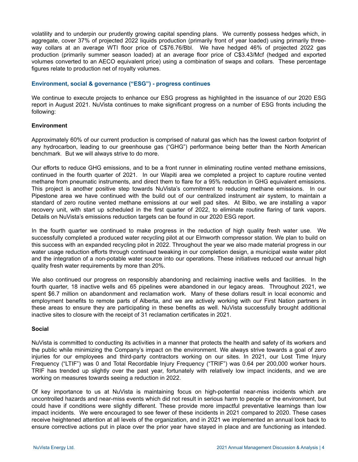volatility and to underpin our prudently growing capital spending plans. We currently possess hedges which, in aggregate, cover 37% of projected 2022 liquids production (primarily front of year loaded) using primarily threeway collars at an average WTI floor price of C\$76.76/Bbl. We have hedged 46% of projected 2022 gas production (primarily summer season loaded) at an average floor price of C\$3.43/Mcf (hedged and exported volumes converted to an AECO equivalent price) using a combination of swaps and collars. These percentage figures relate to production net of royalty volumes.

# **Environment, social & governance ("ESG") - progress continues**

We continue to execute projects to enhance our ESG progress as highlighted in the issuance of our 2020 ESG report in August 2021. NuVista continues to make significant progress on a number of ESG fronts including the following:

## **Environment**

Approximately 60% of our current production is comprised of natural gas which has the lowest carbon footprint of any hydrocarbon, leading to our greenhouse gas ("GHG") performance being better than the North American benchmark. But we will always strive to do more.

Our efforts to reduce GHG emissions, and to be a front runner in eliminating routine vented methane emissions, continued in the fourth quarter of 2021. In our Wapiti area we completed a project to capture routine vented methane from pneumatic instruments, and direct them to flare for a 95% reduction in GHG equivalent emissions. This project is another positive step towards NuVista's commitment to reducing methane emissions. In our Pipestone area we have continued with the build out of our centralized instrument air system, to maintain a standard of zero routine vented methane emissions at our well pad sites. At Bilbo, we are installing a vapor recovery unit, with start up scheduled in the first quarter of 2022, to eliminate routine flaring of tank vapors. Details on NuVista's emissions reduction targets can be found in our 2020 ESG report.

In the fourth quarter we continued to make progress in the reduction of high quality fresh water use. We successfully completed a produced water recycling pilot at our Elmworth compressor station. We plan to build on this success with an expanded recycling pilot in 2022. Throughout the year we also made material progress in our water usage reduction efforts through continued tweaking in our completion design, a municipal waste water pilot and the integration of a non-potable water source into our operations. These initiatives reduced our annual high quality fresh water requirements by more than 20%.

We also continued our progress on responsibly abandoning and reclaiming inactive wells and facilities. In the fourth quarter, 18 inactive wells and 65 pipelines were abandoned in our legacy areas. Throughout 2021, we spent \$6.7 million on abandonment and reclamation work. Many of these dollars result in local economic and employment benefits to remote parts of Alberta, and we are actively working with our First Nation partners in these areas to ensure they are participating in these benefits as well. NuVista successfully brought additional inactive sites to closure with the receipt of 31 reclamation certificates in 2021.

## **Social**

NuVista is committed to conducting its activities in a manner that protects the health and safety of its workers and the public while minimizing the Company's impact on the environment. We always strive towards a goal of zero injuries for our employees and third-party contractors working on our sites. In 2021, our Lost Time Injury Frequency ("LTIF") was 0 and Total Recordable Injury Frequency ("TRIF") was 0.64 per 200,000 worker hours. TRIF has trended up slightly over the past year, fortunately with relatively low impact incidents, and we are working on measures towards seeing a reduction in 2022.

Of key importance to us at NuVista is maintaining focus on high-potential near-miss incidents which are uncontrolled hazards and near-miss events which did not result in serious harm to people or the environment, but could have if conditions were slightly different. These provide more impactful preventative learnings than low impact incidents. We were encouraged to see fewer of these incidents in 2021 compared to 2020. These cases receive heightened attention at all levels of the organization, and in 2021 we implemented an annual look back to ensure corrective actions put in place over the prior year have stayed in place and are functioning as intended.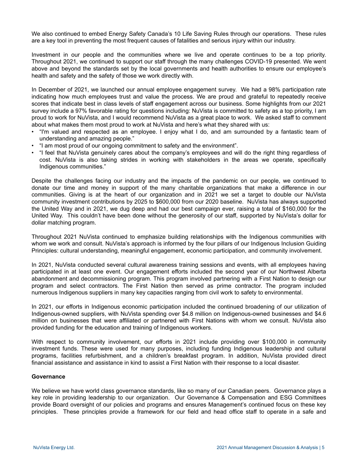We also continued to embed Energy Safety Canada's 10 Life Saving Rules through our operations. These rules are a key tool in preventing the most frequent causes of fatalities and serious injury within our industry.

Investment in our people and the communities where we live and operate continues to be a top priority. Throughout 2021, we continued to support our staff through the many challenges COVID-19 presented. We went above and beyond the standards set by the local governments and health authorities to ensure our employee's health and safety and the safety of those we work directly with.

In December of 2021, we launched our annual employee engagement survey. We had a 98% participation rate indicating how much employees trust and value the process. We are proud and grateful to repeatedly receive scores that indicate best in class levels of staff engagement across our business. Some highlights from our 2021 survey include a 97% favorable rating for questions including: NuVista is committed to safety as a top priority, I am proud to work for NuVista, and I would recommend NuVista as a great place to work. We asked staff to comment about what makes them most proud to work at NuVista and here's what they shared with us:

- "I'm valued and respected as an employee. I enjoy what I do, and am surrounded by a fantastic team of understanding and amazing people."
- "I am most proud of our ongoing commitment to safety and the environment".
- "I feel that NuVista genuinely cares about the company's employees and will do the right thing regardless of cost. NuVista is also taking strides in working with stakeholders in the areas we operate, specifically Indigenous communities."

Despite the challenges facing our industry and the impacts of the pandemic on our people, we continued to donate our time and money in support of the many charitable organizations that make a difference in our communities. Giving is at the heart of our organization and in 2021 we set a target to double our NuVista community investment contributions by 2025 to \$600,000 from our 2020 baseline. NuVista has always supported the United Way and in 2021, we dug deep and had our best campaign ever, raising a total of \$160,000 for the United Way. This couldn't have been done without the generosity of our staff, supported by NuVista's dollar for dollar matching program.

Throughout 2021 NuVista continued to emphasize building relationships with the Indigenous communities with whom we work and consult. NuVista's approach is informed by the four pillars of our Indigenous Inclusion Guiding Principles: cultural understanding, meaningful engagement, economic participation, and community involvement.

In 2021, NuVista conducted several cultural awareness training sessions and events, with all employees having participated in at least one event. Our engagement efforts included the second year of our Northwest Alberta abandonment and decommissioning program. This program involved partnering with a First Nation to design our program and select contractors. The First Nation then served as prime contractor. The program included numerous Indigenous suppliers in many key capacities ranging from civil work to safety to environmental.

In 2021, our efforts in Indigenous economic participation included the continued broadening of our utilization of Indigenous-owned suppliers, with NuVista spending over \$4.8 million on Indigenous-owned businesses and \$4.6 million on businesses that were affiliated or partnered with First Nations with whom we consult. NuVista also provided funding for the education and training of Indigenous workers.

With respect to community involvement, our efforts in 2021 include providing over \$100,000 in community investment funds. These were used for many purposes, including funding Indigenous leadership and cultural programs, facilities refurbishment, and a children's breakfast program. In addition, NuVista provided direct financial assistance and assistance in kind to assist a First Nation with their response to a local disaster.

## **Governance**

We believe we have world class governance standards, like so many of our Canadian peers. Governance plays a key role in providing leadership to our organization. Our Governance & Compensation and ESG Committees provide Board oversight of our policies and programs and ensures Management's continued focus on these key principles. These principles provide a framework for our field and head office staff to operate in a safe and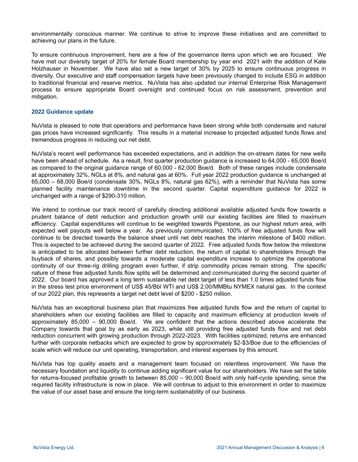environmentally conscious manner. We continue to strive to improve these initiatives and are committed to achieving our plans in the future.

To ensure continuous improvement, here are a few of the governance items upon which we are focused: We have met our diversity target of 20% for female Board membership by year end 2021 with the addition of Kate Holzhauser in November. We have also set a new target of 30% by 2025 to ensure continuous progress in diversity. Our executive and staff compensation targets have been previously changed to include ESG in addition to traditional financial and reserve metrics. NuVista has also updated our internal Enterprise Risk Management process to ensure appropriate Board oversight and continued focus on risk assessment, prevention and mitigation.

#### **2022 Guidance update**

NuVista is pleased to note that operations and performance have been strong while both condensate and natural gas prices have increased significantly. This results in a material increase to projected adjusted funds flows and tremendous progress in reducing our net debt.

NuVista's recent well performance has exceeded expectations, and in addition the on-stream dates for new wells have been ahead of schedule. As a result, first quarter production guidance is increased to 64,000 - 65,000 Boe/d as compared to the original guidance range of 60,000 - 62,000 Boe/d. Both of these ranges include condensate at approximately 32%, NGLs at 8%, and natural gas at 60%. Full year 2022 production guidance is unchanged at 65,000 – 68,000 Boe/d (condensate 30%, NGLs 8%, natural gas 62%), with a reminder that NuVista has some planned facility maintenance downtime in the second quarter. Capital expenditure guidance for 2022 is unchanged with a range of \$290-310 million.

We intend to continue our track record of carefully directing additional available adjusted funds flow towards a prudent balance of debt reduction and production growth until our existing facilities are filled to maximum efficiency. Capital expenditures will continue to be weighted towards Pipestone, as our highest return area, with expected well payouts well below a year. As previously communicated, 100% of free adjusted funds flow will continue to be directed towards the balance sheet until net debt reaches the interim milestone of \$400 million. This is expected to be achieved during the second quarter of 2022. Free adjusted funds flow below the milestone is anticipated to be allocated between further debt reduction, the return of capital to shareholders through the buyback of shares, and possibly towards a moderate capital expenditure increase to optimize the operational continuity of our three-rig drilling program even further, if strip commodity prices remain strong. The specific nature of these free adjusted funds flow splits will be determined and communicated during the second quarter of 2022. Our board has approved a long term sustainable net debt target of less than 1.0 times adjusted funds flow in the stress test price environment of US\$ 45/Bbl WTI and US\$ 2.00/MMBtu NYMEX natural gas. In the context of our 2022 plan, this represents a target net debt level of \$200 - \$250 million.

NuVista has an exceptional business plan that maximizes free adjusted funds flow and the return of capital to shareholders when our existing facilities are filled to capacity and maximum efficiency at production levels of approximately 85,000 – 90,000 Boe/d. We are confident that the actions described above accelerate the Company towards that goal by as early as 2023, while still providing free adjusted funds flow and net debt reduction concurrent with growing production through 2022-2023. With facilities optimized, returns are enhanced further with corporate netbacks which are expected to grow by approximately \$2-\$3/Boe due to the efficiencies of scale which will reduce our unit operating, transportation, and interest expenses by this amount.

NuVista has top quality assets and a management team focused on relentless improvement. We have the necessary foundation and liquidity to continue adding significant value for our shareholders. We have set the table for returns-focused profitable growth to between 85,000 – 90,000 Boe/d with only half-cycle spending, since the required facility infrastructure is now in place. We will continue to adjust to this environment in order to maximize the value of our asset base and ensure the long-term sustainability of our business.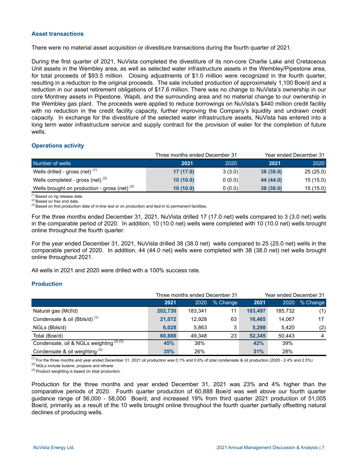# **Asset transactions**

There were no material asset acquisition or divestiture transactions during the fourth quarter of 2021.

During the first quarter of 2021, NuVista completed the divestiture of its non-core Charlie Lake and Cretaceous Unit assets in the Wembley area, as well as selected water infrastructure assets in the Wembley/Pipestone area, for total proceeds of \$93.5 million. Closing adjustments of \$1.0 million were recognized in the fourth quarter, resulting in a reduction to the original proceeds. The sale included production of approximately 1,100 Boe/d and a reduction in our asset retirement obligations of \$17.6 million. There was no change to NuVista's ownership in our core Montney assets in Pipestone, Wapiti, and the surrounding area and no material change to our ownership in the Wembley gas plant. The proceeds were applied to reduce borrowings on NuVista's \$440 million credit facility with no reduction in the credit facility capacity, further improving the Company's liquidity and undrawn credit capacity. In exchange for the divestiture of the selected water infrastructure assets, NuVista has entered into a long term water infrastructure service and supply contract for the provision of water for the completion of future wells.

# **Operations activity**

|                                                 |          | Three months ended December 31 | Year ended December 31 |          |  |
|-------------------------------------------------|----------|--------------------------------|------------------------|----------|--|
| Number of wells                                 | 2021     | 2020                           | 2021                   | 2020     |  |
| Wells drilled - gross (net) $(1)$               | 17(17.0) | 3(3.0)                         | 38(38.0)               | 25(25.0) |  |
| Wells completed - gross (net) $(2)$             | 10(10.0) | 0(0.0)                         | 44 (44.0)              | 15(15.0) |  |
| Wells brought on production - gross (net) $(3)$ | 10(10.0) | 0(0.0)                         | 38(38.0)               | 15(15.0) |  |

(1) Based on rig release date.

(2) Based on frac end date.

 $<sup>(3)</sup>$  Based on first production date of in-line test or on production and tied-in to permanent facilities.</sup>

For the three months ended December 31, 2021, NuVista drilled 17 (17.0 net) wells compared to 3 (3.0 net) wells in the comparable period of 2020. In addition, 10 (10.0 net) wells were completed with 10 (10.0 net) wells brought online throughout the fourth quarter.

For the year ended December 31, 2021, NuVista drilled 38 (38.0 net) wells compared to 25 (25.0 net) wells in the comparable period of 2020. In addition, 44 (44.0 net) wells were completed with 38 (38.0 net) net wells brought online throughout 2021.

All wells in 2021 and 2020 were drilled with a 100% success rate.

## **Production**

|                                                  |         | Three months ended December 31 |          | Year ended December 31 |         |          |  |
|--------------------------------------------------|---------|--------------------------------|----------|------------------------|---------|----------|--|
|                                                  | 2021    | 2020                           | % Change | 2021                   | 2020    | % Change |  |
| Natural gas (Mcf/d)                              | 202,730 | 183,341                        | 11       | 183.497                | 185,732 | (1)      |  |
| Condensate & oil (Bbls/d) <sup>(1)</sup>         | 21,072  | 12,928                         | 63       | 16.465                 | 14.067  | 17       |  |
| NGLs (Bbls/d)                                    | 6,028   | 5,863                          | 3        | 5,298                  | 5.420   | (2)      |  |
| Total (Boe/d)                                    | 60.888  | 49.348                         | 23       | 52.345                 | 50.443  | 4        |  |
| Condensate, oil & NGLs weighting $\sqrt{(2)(3)}$ | 45%     | 38%                            |          | 42%                    | 39%     |          |  |
| Condensate & oil weighting $(3)$                 | 35%     | 26%                            |          | 31%                    | 28%     |          |  |

 $^{(1)}$  For the three months and year ended December 31, 2021 oil production was 0.1% and 0.6% of total condensate & oil production (2020 - 2.4% and 2.5%)

 $(2)$  NGLs include butane, propane and ethane.

<sup>(3)</sup> Product weighting is based on total production.

Production for the three months and year ended December 31, 2021 was 23% and 4% higher than the comparative periods of 2020. Fourth quarter production of 60,888 Boe/d was well above our fourth quarter guidance range of 56,000 - 58,000 Boe/d, and increased 19% from third quarter 2021 production of 51,005 Boe/d, primarily as a result of the 10 wells brought online throughout the fourth quarter partially offsetting natural declines of producing wells.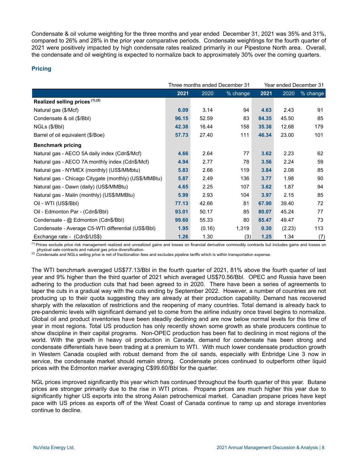Condensate & oil volume weighting for the three months and year ended December 31, 2021 was 35% and 31%, compared to 26% and 28% in the prior year comparative periods. Condensate weightings for the fourth quarter of 2021 were positively impacted by high condensate rates realized primarily in our Pipestone North area. Overall, the condensate and oil weighting is expected to normalize back to approximately 30% over the coming quarters.

# **Pricing**

|                                                       |       |        | Three months ended December 31 | Year ended December 31 |        |            |
|-------------------------------------------------------|-------|--------|--------------------------------|------------------------|--------|------------|
|                                                       | 2021  | 2020   | % change                       | 2021                   | 2020   | $%$ change |
| Realized selling prices (1),(2)                       |       |        |                                |                        |        |            |
| Natural gas (\$/Mcf)                                  | 6.09  | 3.14   | 94                             | 4.63                   | 2.43   | 91         |
| Condensate & oil (\$/Bbl)                             | 96.15 | 52.59  | 83                             | 84.35                  | 45.50  | 85         |
| NGLs (\$/Bbl)                                         | 42.38 | 16.44  | 158                            | 35.38                  | 12.68  | 179        |
| Barrel of oil equivalent (\$/Boe)                     | 57.73 | 27.40  | 111                            | 46.34                  | 23.00  | 101        |
| <b>Benchmark pricing</b>                              |       |        |                                |                        |        |            |
| Natural gas - AECO 5A daily index (Cdn\$/Mcf)         | 4.66  | 2.64   | 77                             | 3.62                   | 2.23   | 62         |
| Natural gas - AECO 7A monthly index (Cdn\$/Mcf)       | 4.94  | 2.77   | 78                             | 3.56                   | 2.24   | 59         |
| Natural gas - NYMEX (monthly) (US\$/MMbtu)            | 5.83  | 2.66   | 119                            | 3.84                   | 2.08   | 85         |
| Natural gas - Chicago Citygate (monthly) (US\$/MMBtu) | 5.87  | 2.49   | 136                            | 3.77                   | 1.98   | 90         |
| Natural gas - Dawn (daily) (US\$/MMBtu)               | 4.65  | 2.25   | 107                            | 3.62                   | 1.87   | 94         |
| Natural gas - Malin (monthly) (US\$/MMBtu)            | 5.99  | 2.93   | 104                            | 3.97                   | 2.15   | 85         |
| Oil - WTI (US\$/BbI)                                  | 77.13 | 42.66  | 81                             | 67.90                  | 39.40  | 72         |
| Oil - Edmonton Par - (Cdn\$/Bbl)                      | 93.01 | 50.17  | 85                             | 80.07                  | 45.24  | 77         |
| Condensate - @ Edmonton (Cdn\$/Bbl)                   | 99.60 | 55.33  | 80                             | 85.47                  | 49.47  | 73         |
| Condensate - Average C5-WTI differential (US\$/Bbl)   | 1.95  | (0.16) | 1,319                          | 0.30                   | (2.23) | 113        |
| Exchange rate - (Cdn\$/US\$)                          | 1.26  | 1.30   | (3)                            | 1.25                   | 1.34   | (7)        |

<sup>(1)</sup> Prices exclude price risk management realized and unrealized gains and losses on financial derivative commodity contracts but includes gains and losses on physical sale contracts and natural gas price diversification.

(2) Condensate and NGLs selling price is net of fractionation fees and excludes pipeline tariffs which is within transportation expense.

The WTI benchmark averaged US\$77.13/Bbl in the fourth quarter of 2021, 81% above the fourth quarter of last year and 9% higher than the third quarter of 2021 which averaged US\$70.56/Bbl. OPEC and Russia have been adhering to the production cuts that had been agreed to in 2020. There have been a series of agreements to taper the cuts in a gradual way with the cuts ending by September 2022. However, a number of countries are not producing up to their quota suggesting they are already at their production capability. Demand has recovered sharply with the relaxation of restrictions and the reopening of many countries. Total demand is already back to pre-pandemic levels with significant demand yet to come from the airline industry once travel begins to normalize. Global oil and product inventories have been steadily declining and are now below normal levels for this time of year in most regions. Total US production has only recently shown some growth as shale producers continue to show discipline in their capital programs. Non-OPEC production has been flat to declining in most regions of the world. With the growth in heavy oil production in Canada, demand for condensate has been strong and condensate differentials have been trading at a premium to WTI. With much lower condensate production growth in Western Canada coupled with robust demand from the oil sands, especially with Enbridge Line 3 now in service, the condensate market should remain strong. Condensate prices continued to outperform other liquid prices with the Edmonton marker averaging C\$99.60/Bbl for the quarter.

NGL prices improved significantly this year which has continued throughout the fourth quarter of this year. Butane prices are stronger primarily due to the rise in WTI prices. Propane prices are much higher this year due to significantly higher US exports into the strong Asian petrochemical market. Canadian propane prices have kept pace with US prices as exports off of the West Coast of Canada continue to ramp up and storage inventories continue to decline.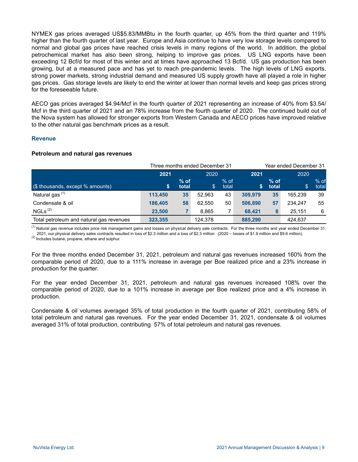NYMEX gas prices averaged US\$5.83/MMBtu in the fourth quarter, up 45% from the third quarter and 119% higher than the fourth quarter of last year. Europe and Asia continue to have very low storage levels compared to normal and global gas prices have reached crisis levels in many regions of the world. In addition, the global petrochemical market has also been strong, helping to improve gas prices. US LNG exports have been exceeding 12 Bcf/d for most of this winter and at times have approached 13 Bcf/d. US gas production has been growing, but at a measured pace and has yet to reach pre-pandemic levels. The high levels of LNG exports, strong power markets, strong industrial demand and measured US supply growth have all played a role in higher gas prices. Gas storage levels are likely to end the winter at lower than normal levels and keep gas prices strong for the foreseeable future.

AECO gas prices averaged \$4.94/Mcf in the fourth quarter of 2021 representing an increase of 40% from \$3.54/ Mcf in the third quarter of 2021 and an 78% increase from the fourth quarter of 2020. The continued build out of the Nova system has allowed for stronger exports from Western Canada and AECO prices have improved relative to the other natural gas benchmark prices as a result.

## **Revenue**

## **Petroleum and natural gas revenues**

|                                          |         | Three months ended December 31 | Year ended December 31 |                 |         |                 |         |                 |  |
|------------------------------------------|---------|--------------------------------|------------------------|-----------------|---------|-----------------|---------|-----------------|--|
|                                          | 2021    |                                |                        | 2020            |         | 2021            |         | 2020            |  |
| (\$ thousands, except % amounts)         | S       | $%$ of<br>total                | \$.                    | $%$ of<br>total | S.      | $%$ of<br>total | \$      | $%$ of<br>total |  |
| Natural gas <sup>(1)</sup>               | 113,450 | 35                             | 52.963                 | 43              | 309,979 | 35              | 165.239 | 39              |  |
| Condensate & oil                         | 186,405 | 58                             | 62.550                 | 50              | 506,890 | 57              | 234.247 | 55              |  |
| NGLs <sup>(2)</sup>                      | 23,500  |                                | 8.865                  | 7               | 68.421  | 8               | 25.151  | 6               |  |
| Total petroleum and natural gas revenues | 323.355 |                                | 124,378                |                 | 885,290 |                 | 424,637 |                 |  |

<sup>(1)</sup> Natural gas revenue includes price risk management gains and losses on physical delivery sale contracts. For the three months and year ended December 31, 2021, our physical delivery sales contracts resulted in loss of \$2.3 million and a loss of \$2.3 million (2020 – losses of \$1.9 million and \$9.6 million).

(2) Includes butane, propane, ethane and sulphur.

For the three months ended December 31, 2021, petroleum and natural gas revenues increased 160% from the comparable period of 2020, due to a 111% increase in average per Boe realized price and a 23% increase in production for the quarter.

For the year ended December 31, 2021, petroleum and natural gas revenues increased 108% over the comparable period of 2020, due to a 101% increase in average per Boe realized price and a 4% increase in production.

Condensate & oil volumes averaged 35% of total production in the fourth quarter of 2021, contributing 58% of total petroleum and natural gas revenues. For the year ended December 31, 2021, condensate & oil volumes averaged 31% of total production, contributing 57% of total petroleum and natural gas revenues.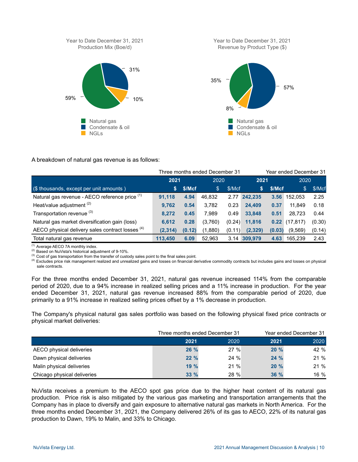

## A breakdown of natural gas revenue is as follows:

|                                                  |          |        | Three months ended December 31 |        | Year ended December 31 |        |           |        |
|--------------------------------------------------|----------|--------|--------------------------------|--------|------------------------|--------|-----------|--------|
|                                                  | 2021     |        | 2020                           |        | 2021                   |        | 2020      |        |
| (\$ thousands, except per unit amounts)          | 'S.      | \$/Mcf | \$                             | \$/Mcf | S                      | \$/Mcf | \$        | \$/Mcf |
| Natural gas revenue - AECO reference price (1)   | 91,118   | 4.94   | 46,832                         | 2.77   | 242,235                | 3.56   | 152.053   | 2.25   |
| Heat/value adjustment <sup>(2)</sup>             | 9.762    | 0.54   | 3.782                          | 0.23   | 24.409                 | 0.37   | 11.849    | 0.18   |
| Transportation revenue (3)                       | 8.272    | 0.45   | 7.989                          | 0.49   | 33,848                 | 0.51   | 28.723    | 0.44   |
| Natural gas market diversification gain (loss)   | 6.612    | 0.28   | (3,760)                        | (0.24) | 11.816                 | 0.22   | (17, 817) | (0.30) |
| AECO physical delivery sales contract losses (4) | (2, 314) | (0.12) | (1,880)                        | (0.11) | (2, 329)               | (0.03) | (9, 569)  | (0.14) |
| Total natural gas revenue                        | 113,450  | 6.09   | 52,963                         |        | 3.14 309,979           | 4.63   | 165,239   | 2.43   |

(1) Average AECO 7A monthly index.

(2) Based on NuVista's historical adjustment of 9-10%.

(3) Cost of gas transportation from the transfer of custody sales point to the final sales point.

(4) Excludes price risk management realized and unrealized gains and losses on financial derivative commodity contracts but includes gains and losses on physical sale contracts.

For the three months ended December 31, 2021, natural gas revenue increased 114% from the comparable period of 2020, due to a 94% increase in realized selling prices and a 11% increase in production. For the year ended December 31, 2021, natural gas revenue increased 88% from the comparable period of 2020, due primarily to a 91% increase in realized selling prices offset by a 1% decrease in production.

The Company's physical natural gas sales portfolio was based on the following physical fixed price contracts or physical market deliveries:

|                             | Three months ended December 31 |         | Year ended December 31 |      |  |
|-----------------------------|--------------------------------|---------|------------------------|------|--|
|                             | 2021                           | 2020    | 2021                   | 2020 |  |
| AECO physical deliveries    | 26 %                           | 27%     | 20%                    | 42 % |  |
| Dawn physical deliveries    | 22%                            | $24 \%$ | 24%                    | 21 % |  |
| Malin physical deliveries   | 19%                            | 21%     | 20%                    | 21 % |  |
| Chicago physical deliveries | 33%                            | 28 %    | 36 %                   | 16 % |  |

NuVista receives a premium to the AECO spot gas price due to the higher heat content of its natural gas production. Price risk is also mitigated by the various gas marketing and transportation arrangements that the Company has in place to diversify and gain exposure to alternative natural gas markets in North America. For the three months ended December 31, 2021, the Company delivered 26% of its gas to AECO, 22% of its natural gas production to Dawn, 19% to Malin, and 33% to Chicago.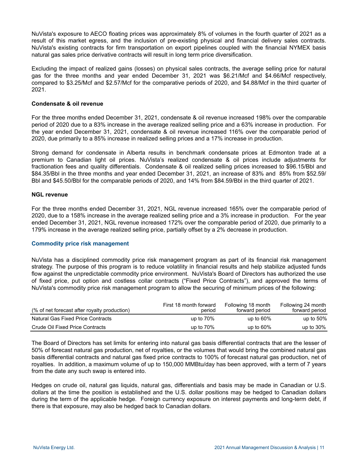NuVista's exposure to AECO floating prices was approximately 8% of volumes in the fourth quarter of 2021 as a result of this market egress, and the inclusion of pre-existing physical and financial delivery sales contracts. NuVista's existing contracts for firm transportation on export pipelines coupled with the financial NYMEX basis natural gas sales price derivative contracts will result in long term price diversification.

Excluding the impact of realized gains (losses) on physical sales contracts, the average selling price for natural gas for the three months and year ended December 31, 2021 was \$6.21/Mcf and \$4.66/Mcf respectively, compared to \$3.25/Mcf and \$2.57/Mcf for the comparative periods of 2020, and \$4.88/Mcf in the third quarter of 2021.

#### **Condensate & oil revenue**

For the three months ended December 31, 2021, condensate & oil revenue increased 198% over the comparable period of 2020 due to a 83% increase in the average realized selling price and a 63% increase in production. For the year ended December 31, 2021, condensate & oil revenue increased 116% over the comparable period of 2020, due primarily to a 85% increase in realized selling prices and a 17% increase in production.

Strong demand for condensate in Alberta results in benchmark condensate prices at Edmonton trade at a premium to Canadian light oil prices. NuVista's realized condensate & oil prices include adjustments for fractionation fees and quality differentials. Condensate & oil realized selling prices increased to \$96.15/Bbl and \$84.35/Bbl in the three months and year ended December 31, 2021, an increase of 83% and 85% from \$52.59/ Bbl and \$45.50/Bbl for the comparable periods of 2020, and 14% from \$84.59/Bbl in the third quarter of 2021.

#### **NGL revenue**

For the three months ended December 31, 2021, NGL revenue increased 165% over the comparable period of 2020, due to a 158% increase in the average realized selling price and a 3% increase in production. For the year ended December 31, 2021, NGL revenue increased 172% over the comparable period of 2020, due primarily to a 179% increase in the average realized selling price, partially offset by a 2% decrease in production.

## **Commodity price risk management**

NuVista has a disciplined commodity price risk management program as part of its financial risk management strategy. The purpose of this program is to reduce volatility in financial results and help stabilize adjusted funds flow against the unpredictable commodity price environment. NuVista's Board of Directors has authorized the use of fixed price, put option and costless collar contracts ("Fixed Price Contracts"), and approved the terms of NuVista's commodity price risk management program to allow the securing of minimum prices of the following:

| (% of net forecast after royalty production) | First 18 month forward<br>period | Following 18 month<br>forward period | Following 24 month<br>forward period |
|----------------------------------------------|----------------------------------|--------------------------------------|--------------------------------------|
| <b>Natural Gas Fixed Price Contracts</b>     | up to $70\%$                     | up to $60\%$                         | up to $50\%$                         |
| Crude Oil Fixed Price Contracts              | up to $70\%$                     | up to $60\%$                         | up to $30\%$                         |

The Board of Directors has set limits for entering into natural gas basis differential contracts that are the lesser of 50% of forecast natural gas production, net of royalties, or the volumes that would bring the combined natural gas basis differential contracts and natural gas fixed price contracts to 100% of forecast natural gas production, net of royalties. In addition, a maximum volume of up to 150,000 MMBtu/day has been approved, with a term of 7 years from the date any such swap is entered into.

Hedges on crude oil, natural gas liquids, natural gas, differentials and basis may be made in Canadian or U.S. dollars at the time the position is established and the U.S. dollar positions may be hedged to Canadian dollars during the term of the applicable hedge. Foreign currency exposure on interest payments and long-term debt, if there is that exposure, may also be hedged back to Canadian dollars.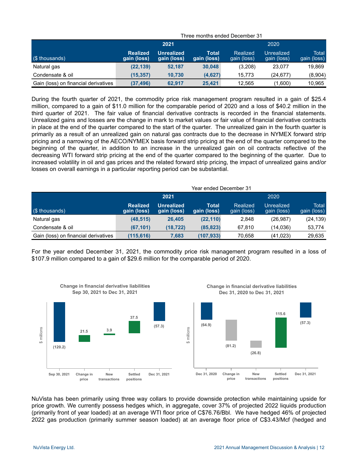|                                      | Three months ended December 3 F |                                  |                      |                         |                           |                      |  |  |  |
|--------------------------------------|---------------------------------|----------------------------------|----------------------|-------------------------|---------------------------|----------------------|--|--|--|
|                                      |                                 | 2021                             |                      | 2020                    |                           |                      |  |  |  |
| (\$ thousands)                       | Realized<br>gain (loss)         | <b>Unrealized</b><br>gain (loss) | Total<br>gain (loss) | Realized<br>gain (loss) | Unrealized<br>gain (loss) | Total<br>gain (loss) |  |  |  |
| Natural gas                          | (22, 139)                       | 52.187                           | 30,048               | (3,208)                 | 23,077                    | 19.869               |  |  |  |
| Condensate & oil                     | (15.357)                        | 10.730                           | (4,627)              | 15.773                  | (24.677)                  | (8,904)              |  |  |  |
| Gain (loss) on financial derivatives | (37, 496)                       | 62.917                           | 25.421               | 12.565                  | (1,600)                   | 10.965               |  |  |  |

Three months ended December 31

During the fourth quarter of 2021, the commodity price risk management program resulted in a gain of \$25.4 million, compared to a gain of \$11.0 million for the comparable period of 2020 and a loss of \$40.2 million in the third quarter of 2021. The fair value of financial derivative contracts is recorded in the financial statements. Unrealized gains and losses are the change in mark to market values or fair value of financial derivative contracts in place at the end of the quarter compared to the start of the quarter. The unrealized gain in the fourth quarter is primarily as a result of an unrealized gain on natural gas contracts due to the decrease in NYMEX forward strip pricing and a narrowing of the AECO/NYMEX basis forward strip pricing at the end of the quarter compared to the beginning of the quarter, in addition to an increase in the unrealized gain on oil contracts reflective of the decreasing WTI forward strip pricing at the end of the quarter compared to the beginning of the quarter. Due to increased volatility in oil and gas prices and the related forward strip pricing, the impact of unrealized gains and/or losses on overall earnings in a particular reporting period can be substantial.

|                                      | Year ended December 31         |                                  |                      |                         |                           |                      |  |  |  |
|--------------------------------------|--------------------------------|----------------------------------|----------------------|-------------------------|---------------------------|----------------------|--|--|--|
|                                      |                                | 2021                             |                      | 2020                    |                           |                      |  |  |  |
| (\$ thousands)                       | <b>Realized</b><br>gain (loss) | <b>Unrealized</b><br>gain (loss) | Total<br>gain (loss) | Realized<br>gain (loss) | Unrealized<br>gain (loss) | Total<br>gain (loss) |  |  |  |
| Natural gas                          | (48, 515)                      | 26,405                           | (22, 110)            | 2,848                   | (26, 987)                 | (24, 139)            |  |  |  |
| Condensate & oil                     | (67, 101)                      | (18,722)                         | (85, 823)            | 67.810                  | (14,036)                  | 53,774               |  |  |  |
| Gain (loss) on financial derivatives | (115,616)                      | 7,683                            | (107, 933)           | 70,658                  | (41, 023)                 | 29,635               |  |  |  |

For the year ended December 31, 2021, the commodity price risk management program resulted in a loss of \$107.9 million compared to a gain of \$29.6 million for the comparable period of 2020.



NuVista has been primarily using three way collars to provide downside protection while maintaining upside for price growth. We currently possess hedges which, in aggregate, cover 37% of projected 2022 liquids production (primarily front of year loaded) at an average WTI floor price of C\$76.76/Bbl. We have hedged 46% of projected 2022 gas production (primarily summer season loaded) at an average floor price of C\$3.43/Mcf (hedged and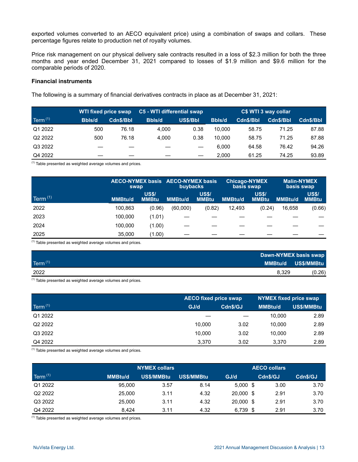exported volumes converted to an AECO equivalent price) using a combination of swaps and collars. These percentage figures relate to production net of royalty volumes.

Price risk management on our physical delivery sale contracts resulted in a loss of \$2.3 million for both the three months and year ended December 31, 2021 compared to losses of \$1.9 million and \$9.6 million for the comparable periods of 2020.

#### **Financial instruments**

The following is a summary of financial derivatives contracts in place as at December 31, 2021:

|                     | WTI fixed price swap |           | C5 - WTI differential swap |          | C\$ WTI 3 way collar |           |           |           |
|---------------------|----------------------|-----------|----------------------------|----------|----------------------|-----------|-----------|-----------|
| $\text{Term}^{(1)}$ | <b>Bbls/d</b>        | Cdn\$/Bbl | <b>Bbls/d</b>              | US\$/Bbl | <b>Bbls/d</b>        | Cdn\$/Bbl | Cdn\$/Bbl | Cdn\$/Bbl |
| Q1 2022             | 500                  | 76.18     | 4.000                      | 0.38     | 10.000               | 58.75     | 71.25     | 87.88     |
| Q2 2022             | 500                  | 76.18     | 4.000                      | 0.38     | 10.000               | 58.75     | 71.25     | 87.88     |
| Q3 2022             |                      |           |                            |          | 6.000                | 64.58     | 76.42     | 94.26     |
| Q4 2022             |                      |           |                            |          | 2.000                | 61.25     | 74.25     | 93.89     |

 $<sup>(1)</sup>$  Table presented as weighted average volumes and prices.</sup>

|                     | AECO-NYMEX basis AECO-NYMEX basis<br>swap |                              | buybacks       |                              | <b>Chicago-NYMEX</b><br>basis swap |                              | <b>Malin-NYMEX</b><br>basis swap |                              |
|---------------------|-------------------------------------------|------------------------------|----------------|------------------------------|------------------------------------|------------------------------|----------------------------------|------------------------------|
| Term <sup>(1)</sup> | <b>MMBtu/d</b>                            | <b>US\$/</b><br><b>MMBtu</b> | <b>MMBtu/d</b> | <b>US\$/</b><br><b>MMBtu</b> | <b>MMBtu/d</b>                     | <b>US\$/</b><br><b>MMBtu</b> | <b>MMBtu/d</b>                   | <b>US\$/</b><br><b>MMBtu</b> |
| 2022                | 100.863                                   | (0.96)                       | (60,000)       | (0.82)                       | 12.493                             | (0.24)                       | 16.658                           | (0.66)                       |
| 2023                | 100.000                                   | (1.01)                       |                |                              |                                    |                              |                                  |                              |
| 2024                | 100.000                                   | (1.00)                       |                |                              |                                    |                              |                                  |                              |
| 2025                | 35,000                                    | (1.00)                       |                |                              |                                    |                              |                                  |                              |

 $<sup>(1)</sup>$  Table presented as weighted average volumes and prices.</sup>

|                       | Dawn-NYMEX basis swap |
|-----------------------|-----------------------|
| Term $(1)$<br>MMBtu/d | US\$/MMBtu            |
| 2022<br>8,329         | (0.26)                |

 $(1)$  Table presented as weighted average volumes and prices.

|                     | <b>AECO fixed price swap</b> |          | <b>NYMEX fixed price swap</b> |                   |  |
|---------------------|------------------------------|----------|-------------------------------|-------------------|--|
| Term $(1)$          | GJ/d                         | Cdn\$/GJ | <b>MMBtu/d</b>                | <b>US\$/MMBtu</b> |  |
| Q1 2022             |                              |          | 10.000                        | 2.89              |  |
| Q <sub>2</sub> 2022 | 10.000                       | 3.02     | 10.000                        | 2.89              |  |
| Q3 2022             | 10.000                       | 3.02     | 10.000                        | 2.89              |  |
| Q4 2022             | 3.370                        | 3.02     | 3.370                         | 2.89              |  |

 $(1)$  Table presented as weighted average volumes and prices.

|                     |                | <b>NYMEX collars</b> |            |            | <b>AECO collars</b> |          |          |
|---------------------|----------------|----------------------|------------|------------|---------------------|----------|----------|
| Term $(1)$          | <b>MMBtu/d</b> | US\$/MMBtu           | US\$/MMBtu | GJ/d       |                     | Cdn\$/GJ | Cdn\$/GJ |
| Q1 2022             | 95,000         | 3.57                 | 8.14       | $5,000$ \$ |                     | 3.00     | 3.70     |
| Q <sub>2</sub> 2022 | 25,000         | 3.11                 | 4.32       | 20,000 \$  |                     | 2.91     | 3.70     |
| Q3 2022             | 25,000         | 3.11                 | 4.32       | 20,000 \$  |                     | 2.91     | 3.70     |
| Q4 2022             | 8.424          | 3.11                 | 4.32       | $6,739$ \$ |                     | 2.91     | 3.70     |

 $(1)$  Table presented as weighted average volumes and prices.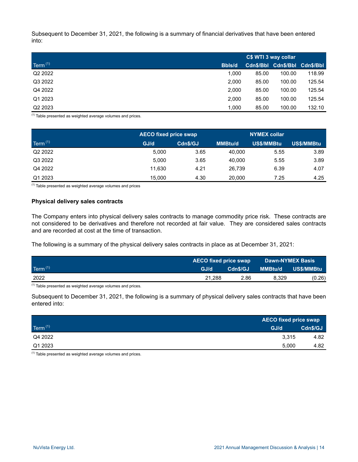Subsequent to December 31, 2021, the following is a summary of financial derivatives that have been entered into:

|                     |               | C\$ WTI 3 way collar |                               |        |  |
|---------------------|---------------|----------------------|-------------------------------|--------|--|
| Term $(1)$          | <b>Bbls/d</b> |                      | Cdn\$/Bbl Cdn\$/Bbl Cdn\$/Bbl |        |  |
| Q <sub>2</sub> 2022 | 1.000         | 85.00                | 100.00                        | 118.99 |  |
| Q3 2022             | 2.000         | 85.00                | 100.00                        | 125.54 |  |
| Q4 2022             | 2.000         | 85.00                | 100.00                        | 125.54 |  |
| Q1 2023             | 2.000         | 85.00                | 100.00                        | 125.54 |  |
| Q <sub>2</sub> 2023 | 1.000         | 85.00                | 100.00                        | 132.10 |  |

 $(1)$  Table presented as weighted average volumes and prices.

|                     |        | <b>AECO fixed price swap</b> |                | <b>NYMEX collar</b> |            |  |
|---------------------|--------|------------------------------|----------------|---------------------|------------|--|
| Term $(1)$          | GJ/d   | Cdn\$/GJ                     | <b>MMBtu/d</b> | <b>US\$/MMBtu</b>   | US\$/MMBtu |  |
| Q <sub>2</sub> 2022 | 5.000  | 3.65                         | 40.000         | 5.55                | 3.89       |  |
| Q3 2022             | 5.000  | 3.65                         | 40.000         | 5.55                | 3.89       |  |
| Q4 2022             | 11.630 | 4.21                         | 26.739         | 6.39                | 4.07       |  |
| Q1 2023             | 15.000 | 4.30                         | 20,000         | 7.25                | 4.25       |  |

 $(1)$  Table presented as weighted average volumes and prices

#### **Physical delivery sales contracts**

The Company enters into physical delivery sales contracts to manage commodity price risk. These contracts are not considered to be derivatives and therefore not recorded at fair value. They are considered sales contracts and are recorded at cost at the time of transaction.

The following is a summary of the physical delivery sales contracts in place as at December 31, 2021:

|            | <b>AECO fixed price swap</b> |          | <b>Dawn-NYMEX Basis</b> |            |
|------------|------------------------------|----------|-------------------------|------------|
| Term $(1)$ | GJ/d                         | Cdn\$/GJ | <b>MMBtu/d</b>          | US\$/MMBtu |
| 2022       | 21.288                       | 2.86     | 8.329                   | (0.26)     |

 $<sup>(1)</sup>$  Table presented as weighted average volumes and prices.</sup>

Subsequent to December 31, 2021, the following is a summary of physical delivery sales contracts that have been entered into:

|            |       | <b>AECO fixed price swap</b> |  |  |
|------------|-------|------------------------------|--|--|
| Term $(1)$ | GJ/d  | Cdn\$/GJ                     |  |  |
| Q4 2022    | 3,315 | 4.82                         |  |  |
| Q1 2023    | 5,000 | 4.82                         |  |  |

 $(1)$  Table presented as weighted average volumes and prices.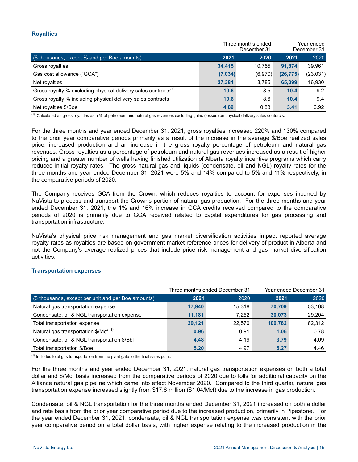# **Royalties**

|                                                                            |         | Three months ended<br>December 31 | Year ended<br>December 31 |          |  |
|----------------------------------------------------------------------------|---------|-----------------------------------|---------------------------|----------|--|
| (\$ thousands, except % and per Boe amounts)                               | 2021    | 2020                              | 2021                      | 2020     |  |
| Gross royalties                                                            | 34.415  | 10.755                            | 91.874                    | 39,961   |  |
| Gas cost allowance ("GCA")                                                 | (7,034) | (6,970)                           | (26, 775)                 | (23,031) |  |
| Net royalties                                                              | 27.381  | 3.785                             | 65.099                    | 16,930   |  |
| Gross royalty % excluding physical delivery sales contracts <sup>(1)</sup> | 10.6    | 8.5                               | 10.4                      | 9.2      |  |
| Gross royalty % including physical delivery sales contracts                | 10.6    | 8.6                               | 10.4                      | 9.4      |  |
| Net royalties \$/Boe                                                       | 4.89    | 0.83                              | 3.41                      | 0.92     |  |

(1) Calculated as gross royalties as a % of petroleum and natural gas revenues excluding gains (losses) on physical delivery sales contracts.

For the three months and year ended December 31, 2021, gross royalties increased 220% and 130% compared to the prior year comparative periods primarily as a result of the increase in the average \$/Boe realized sales price, increased production and an increase in the gross royalty percentage of petroleum and natural gas revenues. Gross royalties as a percentage of petroleum and natural gas revenues increased as a result of higher pricing and a greater number of wells having finished utilization of Alberta royalty incentive programs which carry reduced initial royalty rates. The gross natural gas and liquids (condensate, oil and NGL) royalty rates for the three months and year ended December 31, 2021 were 5% and 14% compared to 5% and 11% respectively, in the comparative periods of 2020.

The Company receives GCA from the Crown, which reduces royalties to account for expenses incurred by NuVista to process and transport the Crown's portion of natural gas production. For the three months and year ended December 31, 2021, the 1% and 16% increase in GCA credits received compared to the comparative periods of 2020 is primarily due to GCA received related to capital expenditures for gas processing and transportation infrastructure.

NuVista's physical price risk management and gas market diversification activities impact reported average royalty rates as royalties are based on government market reference prices for delivery of product in Alberta and not the Company's average realized prices that include price risk management and gas market diversification activities.

## **Transportation expenses**

|                                                     |        | Three months ended December 31 | Year ended December 31 |        |
|-----------------------------------------------------|--------|--------------------------------|------------------------|--------|
| (\$ thousands, except per unit and per Boe amounts) | 2021   | 2020                           | 2021                   | 2020   |
| Natural gas transportation expense                  | 17.940 | 15.318                         | 70.709                 | 53.108 |
| Condensate, oil & NGL transportation expense        | 11.181 | 7.252                          | 30,073                 | 29,204 |
| Total transportation expense                        | 29.121 | 22.570                         | 100.782                | 82,312 |
| Natural gas transportation $$/Mcf$ <sup>(1)</sup>   | 0.96   | 0.91                           | 1.06                   | 0.78   |
| Condensate, oil & NGL transportation \$/Bbl         | 4.48   | 4.19                           | 3.79                   | 4.09   |
| Total transportation \$/Boe                         | 5.20   | 4.97                           | 5.27                   | 4.46   |

 $<sup>(1)</sup>$  Includes total gas transportation from the plant gate to the final sales point.</sup>

For the three months and year ended December 31, 2021, natural gas transportation expenses on both a total dollar and \$/Mcf basis increased from the comparative periods of 2020 due to tolls for additional capacity on the Alliance natural gas pipeline which came into effect November 2020. Compared to the third quarter, natural gas transportation expense increased slightly from \$17.6 million (\$1.04/Mcf) due to the increase in gas production.

Condensate, oil & NGL transportation for the three months ended December 31, 2021 increased on both a dollar and rate basis from the prior year comparative period due to the increased production, primarily in Pipestone. For the year ended December 31, 2021, condensate, oil & NGL transportation expense was consistent with the prior year comparative period on a total dollar basis, with higher expense relating to the increased production in the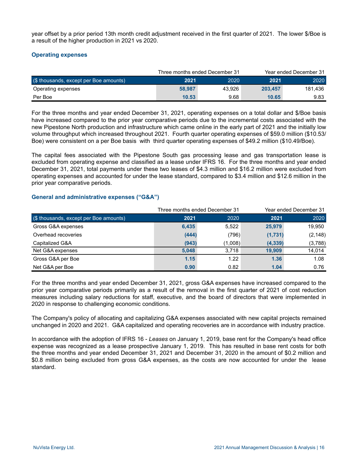year offset by a prior period 13th month credit adjustment received in the first quarter of 2021. The lower \$/Boe is a result of the higher production in 2021 vs 2020.

# **Operating expenses**

|                                        |        | Three months ended December 31 |         | Year ended December 31 |
|----------------------------------------|--------|--------------------------------|---------|------------------------|
| (\$ thousands, except per Boe amounts) | 2021   | 2020                           | 2021    | 2020                   |
| Operating expenses                     | 58,987 | 43.926                         | 203.457 | 181.436                |
| Per Boe                                | 10.53  | 9.68                           | 10.65   | 9.83                   |

For the three months and year ended December 31, 2021, operating expenses on a total dollar and \$/Boe basis have increased compared to the prior year comparative periods due to the incremental costs associated with the new Pipestone North production and infrastructure which came online in the early part of 2021 and the initially low volume throughput which increased throughout 2021. Fourth quarter operating expenses of \$59.0 million (\$10.53/ Boe) were consistent on a per Boe basis with third quarter operating expenses of \$49.2 million (\$10.49/Boe).

The capital fees associated with the Pipestone South gas processing lease and gas transportation lease is excluded from operating expense and classified as a lease under IFRS 16. For the three months and year ended December 31, 2021, total payments under these two leases of \$4.3 million and \$16.2 million were excluded from operating expenses and accounted for under the lease standard, compared to \$3.4 million and \$12.6 million in the prior year comparative periods.

# **General and administrative expenses ("G&A")**

|                                        | Three months ended December 31 |         |          | Year ended December 31 |
|----------------------------------------|--------------------------------|---------|----------|------------------------|
| (\$ thousands, except per Boe amounts) | 2021                           | 2020    | 2021     | 2020                   |
| Gross G&A expenses                     | 6,435                          | 5.522   | 25,979   | 19,950                 |
| Overhead recoveries                    | (444)                          | (796)   | (1,731)  | (2, 148)               |
| Capitalized G&A                        | (943)                          | (1,008) | (4, 339) | (3,788)                |
| Net G&A expenses                       | 5,048                          | 3.718   | 19,909   | 14,014                 |
| Gross G&A per Boe                      | 1.15                           | 1.22    | 1.36     | 1.08                   |
| Net G&A per Boe                        | 0.90                           | 0.82    | 1.04     | 0.76                   |

For the three months and year ended December 31, 2021, gross G&A expenses have increased compared to the prior year comparative periods primarily as a result of the removal in the first quarter of 2021 of cost reduction measures including salary reductions for staff, executive, and the board of directors that were implemented in 2020 in response to challenging economic conditions.

The Company's policy of allocating and capitalizing G&A expenses associated with new capital projects remained unchanged in 2020 and 2021. G&A capitalized and operating recoveries are in accordance with industry practice.

In accordance with the adoption of IFRS 16 - *Leases* on January 1, 2019, base rent for the Company's head office expense was recognized as a lease prospective January 1, 2019. This has resulted in base rent costs for both the three months and year ended December 31, 2021 and December 31, 2020 in the amount of \$0.2 million and \$0.8 million being excluded from gross G&A expenses, as the costs are now accounted for under the lease standard.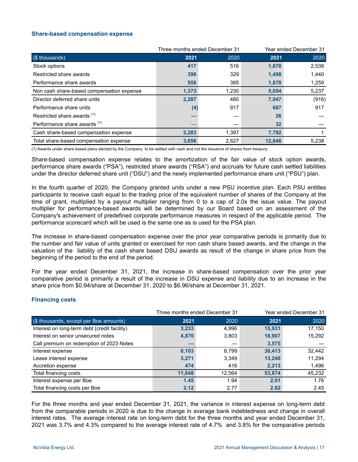#### **Share-based compensation expense**

|                                           | Three months ended December 31 |       |        | Year ended December 31 |
|-------------------------------------------|--------------------------------|-------|--------|------------------------|
| (\$ thousands)                            | 2021                           | 2020  | 2021   | 2020                   |
| Stock options                             | 417                            | 516   | 1,678  | 2,538                  |
| Restricted share awards                   | 398                            | 329   | 1,498  | 1,440                  |
| Performance share awards                  | 558                            | 385   | 1,878  | 1,259                  |
| Non cash share-based compensation expense | 1,373                          | 1,230 | 5,054  | 5,237                  |
| Director deferred share units             | 2,287                          | 480   | 7,047  | (916)                  |
| Performance share units                   | (4)                            | 917   | 687    | 917                    |
| Restricted share awards <sup>(1)</sup>    |                                |       | 26     |                        |
| Performance share awards <sup>(1)</sup>   |                                |       | 32     |                        |
| Cash share-based compensation expense     | 2,283                          | 1,397 | 7,792  |                        |
| Total share-based compensation expense    | 3,656                          | 2,627 | 12,846 | 5,238                  |

(1) Awards under share based plans elected by the Company to be settled with cash and not the issuance of shares from treasury.

Share-based compensation expense relates to the amortization of the fair value of stock option awards, performance share awards ("PSA"), restricted share awards ("RSA") and accruals for future cash settled liabilities under the director deferred share unit ("DSU") and the newly implemented performance share unit ("PSU") plan.

In the fourth quarter of 2020, the Company granted units under a new PSU incentive plan. Each PSU entitles participants to receive cash equal to the trading price of the equivalent number of shares of the Company at the time of grant, multiplied by a payout multiplier ranging from 0 to a cap of 2.0x the issue value. The payout multiplier for performance-based awards will be determined by our Board based on an assessment of the Company's achievement of predefined corporate performance measures in respect of the applicable period. The performance scorecard which will be used is the same one as is used for the PSA plan.

The increase in share-based compensation expense over the prior year comparative periods is primarily due to the number and fair value of units granted or exercised for non cash share based awards, and the change in the valuation of the liability of the cash share based DSU awards as result of the change in share price from the beginning of the period to the end of the period.

For the year ended December 31, 2021, the increase in share-based compensation over the prior year comparative period is primarily a result of the increase in DSU expense and liability due to an increase in the share price from \$0.94/share at December 31, 2020 to \$6.96/share at December 31, 2021.

## **Financing costs**

|                                              |        | Three months ended December 31 | Year ended December 31 |        |  |
|----------------------------------------------|--------|--------------------------------|------------------------|--------|--|
| (\$ thousands, except per Boe amounts)       | 2021   | 2020                           | 2021                   | 2020   |  |
| Interest on long-term debt (credit facility) | 3,233  | 4,996                          | 15,931                 | 17,150 |  |
| Interest on senior unsecured notes           | 4,870  | 3,803                          | 18,907                 | 15,292 |  |
| Call premium on redemption of 2023 Notes     |        |                                | 3,575                  |        |  |
| Interest expense                             | 8,103  | 8,799                          | 38.413                 | 32,442 |  |
| Lease interest expense                       | 3,271  | 3,349                          | 13,248                 | 11,294 |  |
| Accretion expense                            | 474    | 416                            | 2,213                  | 1,496  |  |
| Total financing costs                        | 11,848 | 12,564                         | 53,874                 | 45,232 |  |
| Interest expense per Boe                     | 1.45   | 1.94                           | 2.01                   | 1.76   |  |
| Total financing costs per Boe                | 2.12   | 2.77                           | 2.82                   | 2.45   |  |

For the three months and year ended December 31, 2021, the variance in interest expense on long-term debt from the comparable periods in 2020 is due to the change in average bank indebtedness and change in overall interest rates. The average interest rate on long-term debt for the three months and year ended December 31, 2021 was 3.7% and 4.3% compared to the average interest rate of 4.7% and 3.8% for the comparative periods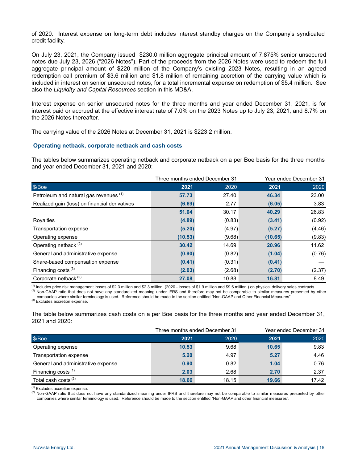of 2020. Interest expense on long-term debt includes interest standby charges on the Company's syndicated credit facility.

On July 23, 2021, the Company issued \$230.0 million aggregate principal amount of 7.875% senior unsecured notes due July 23, 2026 ("2026 Notes"). Part of the proceeds from the 2026 Notes were used to redeem the full aggregate principal amount of \$220 million of the Company's existing 2023 Notes, resulting in an agreed redemption call premium of \$3.6 million and \$1.8 million of remaining accretion of the carrying value which is included in interest on senior unsecured notes, for a total incremental expense on redemption of \$5.4 million. See also the *Liquidity and Capital Resources* section in this MD&A.

Interest expense on senior unsecured notes for the three months and year ended December 31, 2021, is for interest paid or accrued at the effective interest rate of 7.0% on the 2023 Notes up to July 23, 2021, and 8.7% on the 2026 Notes thereafter.

The carrying value of the 2026 Notes at December 31, 2021 is \$223.2 million.

#### **Operating netback, corporate netback and cash costs**

The tables below summarizes operating netback and corporate netback on a per Boe basis for the three months and year ended December 31, 2021 and 2020:

|                                               |         | Three months ended December 31 | Year ended December 31 |        |  |
|-----------------------------------------------|---------|--------------------------------|------------------------|--------|--|
| \$/Boe                                        | 2021    | 2020                           | 2021                   | 2020   |  |
| Petroleum and natural gas revenues (1)        | 57.73   | 27.40                          | 46.34                  | 23.00  |  |
| Realized gain (loss) on financial derivatives | (6.69)  | 2.77                           | (6.05)                 | 3.83   |  |
|                                               | 51.04   | 30.17                          | 40.29                  | 26.83  |  |
| Royalties                                     | (4.89)  | (0.83)                         | (3.41)                 | (0.92) |  |
| Transportation expense                        | (5.20)  | (4.97)                         | (5.27)                 | (4.46) |  |
| Operating expense                             | (10.53) | (9.68)                         | (10.65)                | (9.83) |  |
| Operating netback <sup>(2)</sup>              | 30.42   | 14.69                          | 20.96                  | 11.62  |  |
| General and administrative expense            | (0.90)  | (0.82)                         | (1.04)                 | (0.76) |  |
| Share-based compensation expense              | (0.41)  | (0.31)                         | (0.41)                 |        |  |
| Financing costs $(3)$                         | (2.03)  | (2.68)                         | (2.70)                 | (2.37) |  |
| Corporate netback <sup>(2)</sup>              | 27.08   | 10.88                          | 16.81                  | 8.49   |  |

 $<sup>(1)</sup>$  Includes price risk management losses of \$2.3 million and \$2.3 million (2020 - losses of \$1.9 million and \$9.6 million ) on physical delivery sales contracts.</sup> <sup>(2)</sup> Non-GAAP ratio that does not have any standardized meaning under IFRS and therefore may not be comparable to similar measures presented by other

companies where similar terminology is used. Reference should be made to the section entitled "Non-GAAP and Other Financial Measures". (3) Excludes accretion expense.

The table below summarizes cash costs on a per Boe basis for the three months and year ended December 31, 2021 and 2020:

|                                    |       | Three months ended December 31 |       | Year ended December 31 |  |  |
|------------------------------------|-------|--------------------------------|-------|------------------------|--|--|
| \$/Boe                             | 2021  | 2020                           | 2021  | 2020                   |  |  |
| Operating expense                  | 10.53 | 9.68                           | 10.65 | 9.83                   |  |  |
| Transportation expense             | 5.20  | 4.97                           | 5.27  | 4.46                   |  |  |
| General and administrative expense | 0.90  | 0.82                           | 1.04  | 0.76                   |  |  |
| Financing costs $(1)$              | 2.03  | 2.68                           | 2.70  | 2.37                   |  |  |
| Total cash costs <sup>(2)</sup>    | 18.66 | 18.15                          | 19.66 | 17.42                  |  |  |

 $<sup>(1)</sup>$  Excludes accretion expense.</sup>

<sup>(2)</sup> Non-GAAP ratio that does not have any standardized meaning under IFRS and therefore may not be comparable to similar measures presented by other companies where similar terminology is used. Reference should be made to the section entitled "Non-GAAP and other financial measures".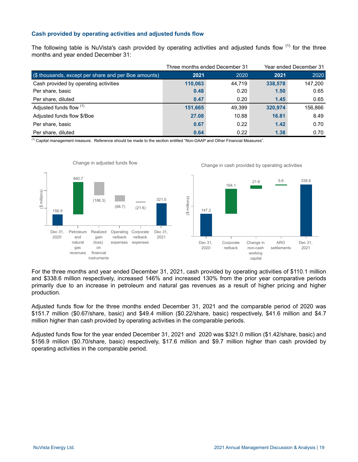# **Cash provided by operating activities and adjusted funds flow**

The following table is NuVista's cash provided by operating activities and adjusted funds flow <sup>(1)</sup> for the three months and year ended December 31:

|                                                      |         | Three months ended December 31 | Year ended December 31 |         |  |
|------------------------------------------------------|---------|--------------------------------|------------------------|---------|--|
| (\$ thousands, except per share and per Boe amounts) | 2021    | 2020                           | 2021                   | 2020    |  |
| Cash provided by operating activities                | 110,063 | 44.719                         | 338,578                | 147,200 |  |
| Per share, basic                                     | 0.48    | 0.20                           | 1.50                   | 0.65    |  |
| Per share, diluted                                   | 0.47    | 0.20                           | 1.45                   | 0.65    |  |
| Adjusted funds flow (1)                              | 151,665 | 49.399                         | 320,974                | 156,866 |  |
| Adjusted funds flow \$/Boe                           | 27.08   | 10.88                          | 16.81                  | 8.49    |  |
| Per share, basic                                     | 0.67    | 0.22                           | 1.42                   | 0.70    |  |
| Per share, diluted                                   | 0.64    | 0.22                           | 1.38                   | 0.70    |  |

(1) Capital management measure. Reference should be made to the section entitled "Non-GAAP and Other Financial Measures".



For the three months and year ended December 31, 2021, cash provided by operating activities of \$110.1 million and \$338.6 million respectively, increased 146% and increased 130% from the prior year comparative periods primarily due to an increase in petroleum and natural gas revenues as a result of higher pricing and higher production.

Adjusted funds flow for the three months ended December 31, 2021 and the comparable period of 2020 was \$151.7 million (\$0.67/share, basic) and \$49.4 million (\$0.22/share, basic) respectively, \$41.6 million and \$4.7 million higher than cash provided by operating activities in the comparable periods.

Adjusted funds flow for the year ended December 31, 2021 and 2020 was \$321.0 million (\$1.42/share, basic) and \$156.9 million (\$0.70/share, basic) respectively, \$17.6 million and \$9.7 million higher than cash provided by operating activities in the comparable period.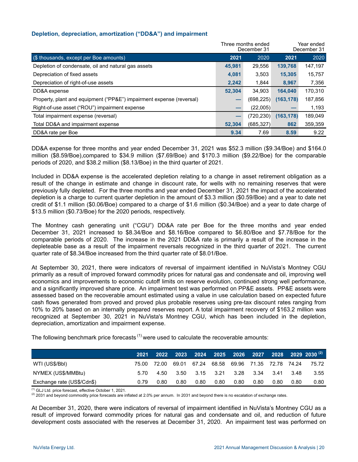# **Depletion, depreciation, amortization ("DD&A") and impairment**

|                                                                      |        | Three months ended<br>December 31 | Year ended<br>December 31 |         |
|----------------------------------------------------------------------|--------|-----------------------------------|---------------------------|---------|
| (\$ thousands, except per Boe amounts)                               | 2021   | 2020                              | 2021                      | 2020    |
| Depletion of condensate, oil and natural gas assets                  | 45,981 | 29,556                            | 139,768                   | 147,197 |
| Depreciation of fixed assets                                         | 4,081  | 3,503                             | 15,305                    | 15,757  |
| Depreciation of right-of-use assets                                  | 2.242  | 1.844                             | 8,967                     | 7,356   |
| DD&A expense                                                         | 52.304 | 34.903                            | 164.040                   | 170,310 |
| Property, plant and equipment ("PP&E") impairment expense (reversal) |        | (698, 225)                        | (163, 178)                | 187,856 |
| Right-of-use asset ("ROU") impairment expense                        |        | (22,005)                          |                           | 1,193   |
| Total impairment expense (reversal)                                  | -      | (720, 230)                        | (163, 178)                | 189,049 |
| Total DD&A and impairment expense                                    | 52,304 | (685, 327)                        | 862                       | 359,359 |
| DD&A rate per Boe                                                    | 9.34   | 7.69                              | 8.59                      | 9.22    |

DD&A expense for three months and year ended December 31, 2021 was \$52.3 million (\$9.34/Boe) and \$164.0 million (\$8.59/Boe),compared to \$34.9 million (\$7.69/Boe) and \$170.3 million (\$9.22/Boe) for the comparable periods of 2020, and \$38.2 million (\$8.13/Boe) in the third quarter of 2021.

Included in DD&A expense is the accelerated depletion relating to a change in asset retirement obligation as a result of the change in estimate and change in discount rate, for wells with no remaining reserves that were previously fully depleted. For the three months and year ended December 31, 2021 the impact of the accelerated depletion is a charge to current quarter depletion in the amount of \$3.3 million (\$0.59/Boe) and a year to date net credit of \$1.1 million (\$0.06/Boe) compared to a charge of \$1.6 million (\$0.34/Boe) and a year to date charge of \$13.5 million (\$0.73/Boe) for the 2020 periods, respectively.

The Montney cash generating unit ("CGU") DD&A rate per Boe for the three months and year ended December 31, 2021 increased to \$8.34/Boe and \$8.16/Boe compared to \$6.80/Boe and \$7.78/Boe for the comparable periods of 2020. The increase in the 2021 DD&A rate is primarily a result of the increase in the depleteable base as a result of the impairment reversals recognized in the third quarter of 2021. The current quarter rate of \$8.34/Boe increased from the third quarter rate of \$8.01/Boe.

At September 30, 2021, there were indicators of reversal of impairment identified in NuVista's Montney CGU primarily as a result of improved forward commodity prices for natural gas and condensate and oil, improving well economics and improvements to economic cutoff limits on reserve evolution, continued strong well performance, and a significantly improved share price. An impairment test was performed on PP&E assets. PP&E assets were assessed based on the recoverable amount estimated using a value in use calculation based on expected future cash flows generated from proved and proved plus probable reserves using pre-tax discount rates ranging from 10% to 20% based on an internally prepared reserves report. A total impairment recovery of \$163.2 million was recognized at September 30, 2021 in NuVista's Montney CGU, which has been included in the depletion, depreciation, amortization and impairment expense.

The following benchmark price forecasts  $(1)$  were used to calculate the recoverable amounts:

|                            | 2021    |       |                                     |                          |      |      |      |      |       | 2022 2023 2024 2025 2026 2027 2028 2029 2030 <sup>(2)</sup> |
|----------------------------|---------|-------|-------------------------------------|--------------------------|------|------|------|------|-------|-------------------------------------------------------------|
| WTI (US\$/BbI)             | 75.00 . | 72.00 | 69.01 67.24 68.58 69.96 71.35 72.78 |                          |      |      |      |      | 74.24 | 75.72                                                       |
| NYMEX (US\$/MMBtu)         | 5.70    | 4.50  |                                     | 3.50 3.15 3.21 3.28 3.34 |      |      |      | 3.41 | -3.48 | 3.55                                                        |
| Exchange rate (US\$/Cdn\$) | 0.79    | 0.80  | 0.80                                | 0.80                     | 0.80 | 0.80 | 0.80 | 0.80 | 0.80  | 0.80                                                        |

(1) GLJ Ltd. price forecast, effective October 1, 2021.

 $(2)$  2031 and beyond commodity price forecasts are inflated at 2.0% per annum. In 2031 and beyond there is no escalation of exchange rates.

At December 31, 2020, there were indicators of reversal of impairment identified in NuVista's Montney CGU as a result of improved forward commodity prices for natural gas and condensate and oil, and reduction of future development costs associated with the reserves at December 31, 2020. An impairment test was performed on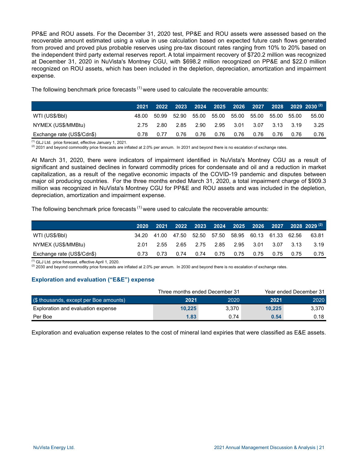PP&E and ROU assets. For the December 31, 2020 test, PP&E and ROU assets were assessed based on the recoverable amount estimated using a value in use calculation based on expected future cash flows generated from proved and proved plus probable reserves using pre-tax discount rates ranging from 10% to 20% based on the independent third party external reserves report. A total impairment recovery of \$720.2 million was recognized at December 31, 2020 in NuVista's Montney CGU, with \$698.2 million recognized on PP&E and \$22.0 million recognized on ROU assets, which has been included in the depletion, depreciation, amortization and impairment expense.

The following benchmark price forecasts  $(1)$  were used to calculate the recoverable amounts:

|                            | 2021  | 2022  |      |             |      |                   |      |           |       | $2023$ 2024 2025 2026 2027 2028 2029 2030 $^{(2)}$ |
|----------------------------|-------|-------|------|-------------|------|-------------------|------|-----------|-------|----------------------------------------------------|
| WTI (US\$/BbI)             | 48.00 | 50.99 |      | 52.90 55.00 |      | 55.00 55.00 55.00 |      | 55.00     | 55.00 | 55.00                                              |
| NYMEX (US\$/MMBtu)         | 2.75  | 2.80  |      | 2.85 2.90   |      | 2.95 3.01         | 3.07 | 3.13 3.19 |       | 3.25                                               |
| Exchange rate (US\$/Cdn\$) | 0.78  | 0.77  | 0.76 | 0.76        | 0.76 | 0.76              | 0.76 | 0.76      | 0.76  | 0.76                                               |

(1) GLJ Ltd. price forecast, effective January 1, 2021.

<sup>(2)</sup> 2031 and beyond commodity price forecasts are inflated at 2.0% per annum. In 2031 and beyond there is no escalation of exchange rates.

At March 31, 2020, there were indicators of impairment identified in NuVista's Montney CGU as a result of significant and sustained declines in forward commodity prices for condensate and oil and a reduction in market capitalization, as a result of the negative economic impacts of the COVID-19 pandemic and disputes between major oil producing countries. For the three months ended March 31, 2020, a total impairment charge of \$909.3 million was recognized in NuVista's Montney CGU for PP&E and ROU assets and was included in the depletion, depreciation, amortization and impairment expense.

The following benchmark price forecasts  $<sup>(1)</sup>$  were used to calculate the recoverable amounts:</sup>

|                            | <b>2020</b> |      |                                                       |  |      |      | $2021$ 2022 2023 2024 2025 2026 2027 2028 2029 $^{(2)}$ |
|----------------------------|-------------|------|-------------------------------------------------------|--|------|------|---------------------------------------------------------|
| WTI (US\$/BbI)             |             |      | 34.20 41.00 47.50 52.50 57.50 58.95 60.13 61.33 62.56 |  |      |      | 63.81                                                   |
| NYMEX (US\$/MMBtu)         | 2.01        | 2.55 | 2.65 2.75 2.85 2.95 3.01 3.07 3.13                    |  |      |      | 3.19                                                    |
| Exchange rate (US\$/Cdn\$) | 0.73        | 0.73 | 0.74 0.74 0.75 0.75 0.75                              |  | 0.75 | 0.75 | 0.75                                                    |

(1) GLJ Ltd. price forecast, effective April 1, 2020.

<sup>(2)</sup> 2030 and beyond commodity price forecasts are inflated at 2.0% per annum. In 2030 and beyond there is no escalation of exchange rates.

# **Exploration and evaluation ("E&E") expense**

|                                        | Three months ended December 31 |       | Year ended December 31 |       |  |
|----------------------------------------|--------------------------------|-------|------------------------|-------|--|
| (\$ thousands, except per Boe amounts) | 2021                           | 2020  | 2021                   | 2020  |  |
| Exploration and evaluation expense     | 10.225                         | 3.370 | 10.225                 | 3.370 |  |
| Per Boe                                | 1.83                           | 0.74  | 0.54                   | 0.18  |  |

Exploration and evaluation expense relates to the cost of mineral land expiries that were classified as E&E assets.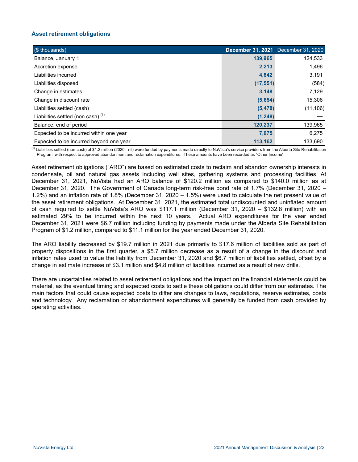# **Asset retirement obligations**

| (\$ thousands)                                |           | <b>December 31, 2021</b> December 31, 2020 |
|-----------------------------------------------|-----------|--------------------------------------------|
| Balance, January 1                            | 139,965   | 124,533                                    |
| Accretion expense                             | 2,213     | 1,496                                      |
| Liabilities incurred                          | 4,842     | 3,191                                      |
| Liabilities disposed                          | (17, 551) | (584)                                      |
| Change in estimates                           | 3,148     | 7,129                                      |
| Change in discount rate                       | (5,654)   | 15,306                                     |
| Liabilities settled (cash)                    | (5, 478)  | (11, 106)                                  |
| Liabilities settled (non cash) <sup>(1)</sup> | (1, 248)  |                                            |
| Balance, end of period                        | 120,237   | 139,965                                    |
| Expected to be incurred within one year       | 7,075     | 6,275                                      |
| Expected to be incurred beyond one year       | 113.162   | 133.690                                    |

<sup>(1)</sup> Liabilities settled (non-cash) of \$1.2 million (2020 - nil) were funded by payments made directly to NuVista's service providers from the Alberta Site Rehabilitation Program with respect to approved abandonment and reclamation expenditures. These amounts have been recorded as "Other Income".

Asset retirement obligations ("ARO") are based on estimated costs to reclaim and abandon ownership interests in condensate, oil and natural gas assets including well sites, gathering systems and processing facilities. At December 31, 2021, NuVista had an ARO balance of \$120.2 million as compared to \$140.0 million as at December 31, 2020. The Government of Canada long-term risk-free bond rate of 1.7% (December 31, 2020 – 1.2%) and an inflation rate of 1.8% (December 31, 2020 – 1.5%) were used to calculate the net present value of the asset retirement obligations. At December 31, 2021, the estimated total undiscounted and uninflated amount of cash required to settle NuVista's ARO was \$117.1 million (December 31, 2020 – \$132.8 million) with an estimated 29% to be incurred within the next 10 years. Actual ARO expenditures for the year ended December 31, 2021 were \$6.7 million including funding by payments made under the Alberta Site Rehabilitation Program of \$1.2 million, compared to \$11.1 million for the year ended December 31, 2020.

The ARO liability decreased by \$19.7 million in 2021 due primarily to \$17.6 million of liabilities sold as part of property dispositions in the first quarter, a \$5.7 million decrease as a result of a change in the discount and inflation rates used to value the liability from December 31, 2020 and \$6.7 million of liabilities settled, offset by a change in estimate increase of \$3.1 million and \$4.8 million of liabilities incurred as a result of new drills.

There are uncertainties related to asset retirement obligations and the impact on the financial statements could be material, as the eventual timing and expected costs to settle these obligations could differ from our estimates. The main factors that could cause expected costs to differ are changes to laws, regulations, reserve estimates, costs and technology. Any reclamation or abandonment expenditures will generally be funded from cash provided by operating activities.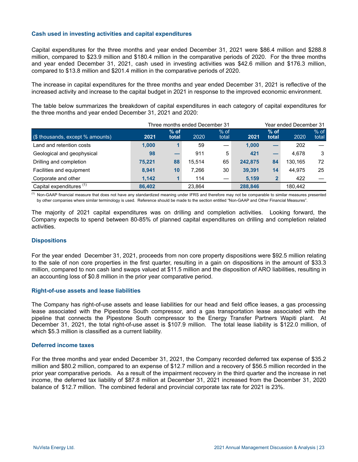# **Cash used in investing activities and capital expenditures**

Capital expenditures for the three months and year ended December 31, 2021 were \$86.4 million and \$288.8 million, compared to \$23.9 million and \$180.4 million in the comparative periods of 2020. For the three months and year ended December 31, 2021, cash used in investing activities was \$42.6 million and \$176.3 million, compared to \$13.8 million and \$201.4 million in the comparative periods of 2020.

The increase in capital expenditures for the three months and year ended December 31, 2021 is reflective of the increased activity and increase to the capital budget in 2021 in response to the improved economic environment.

The table below summarizes the breakdown of capital expenditures in each category of capital expenditures for the three months and year ended December 31, 2021 and 2020:

|                                     |        |                 | Three months ended December 31 | Year ended December 31 |         |                 |         |                 |
|-------------------------------------|--------|-----------------|--------------------------------|------------------------|---------|-----------------|---------|-----------------|
| (\$ thousands, except % amounts)    | 2021   | $%$ of<br>total | 2020                           | $%$ of<br>total        | 2021    | $%$ of<br>total | 2020    | $%$ of<br>total |
| Land and retention costs            | 1,000  |                 | 59                             |                        | 1.000   |                 | 202     |                 |
| Geological and geophysical          | 98     |                 | 911                            | 5                      | 421     | –               | 4.678   | 3               |
| Drilling and completion             | 75.221 | 88              | 15.514                         | 65                     | 242.875 | 84              | 130.165 | 72              |
| Facilities and equipment            | 8,941  | 10              | 7.266                          | 30                     | 39,391  | 14              | 44.975  | 25              |
| Corporate and other                 | 1.142  |                 | 114                            |                        | 5,159   | $\mathbf{2}$    | 422     |                 |
| Capital expenditures <sup>(1)</sup> | 86.402 |                 | 23.864                         |                        | 288.846 |                 | 180.442 |                 |

<sup>(1)</sup> Non-GAAP financial measure that does not have any standardized meaning under IFRS and therefore may not be comparable to similar measures presented by other companies where similar terminology is used. Reference should be made to the section entitled "Non-GAAP and Other Financial Measures".

The majority of 2021 capital expenditures was on drilling and completion activities. Looking forward, the Company expects to spend between 80-85% of planned capital expenditures on drilling and completion related activities.

## **Dispositions**

For the year ended December 31, 2021, proceeds from non core property dispositions were \$92.5 million relating to the sale of non core properties in the first quarter, resulting in a gain on dispositions in the amount of \$33.3 million, compared to non cash land swaps valued at \$11.5 million and the disposition of ARO liabilities, resulting in an accounting loss of \$0.8 million in the prior year comparative period.

## **Right-of-use assets and lease liabilities**

The Company has right-of-use assets and lease liabilities for our head and field office leases, a gas processing lease associated with the Pipestone South compressor, and a gas transportation lease associated with the pipeline that connects the Pipestone South compressor to the Energy Transfer Partners Wapiti plant. At December 31, 2021, the total right-of-use asset is \$107.9 million. The total lease liability is \$122.0 million, of which \$5.3 million is classified as a current liability.

## **Deferred income taxes**

For the three months and year ended December 31, 2021, the Company recorded deferred tax expense of \$35.2 million and \$80.2 million, compared to an expense of \$12.7 million and a recovery of \$56.5 million recorded in the prior year comparative periods. As a result of the impairment recovery in the third quarter and the increase in net income, the deferred tax liability of \$87.8 million at December 31, 2021 increased from the December 31, 2020 balance of \$12.7 million. The combined federal and provincial corporate tax rate for 2021 is 23%.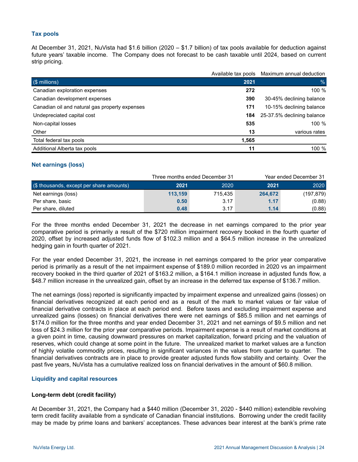# **Tax pools**

At December 31, 2021, NuVista had \$1.6 billion (2020 – \$1.7 billion) of tax pools available for deduction against future years' taxable income. The Company does not forecast to be cash taxable until 2024, based on current strip pricing.

|                                                | Available tax pools | Maximum annual deduction              |
|------------------------------------------------|---------------------|---------------------------------------|
| (\$ millions)                                  | 2021                | %                                     |
| Canadian exploration expenses                  | 272                 | 100 %                                 |
| Canadian development expenses                  | 390                 | 30-45% declining balance              |
| Canadian oil and natural gas property expenses | 171                 | 10-15% declining balance              |
| Undepreciated capital cost                     |                     | <b>184</b> 25-37.5% declining balance |
| Non-capital losses                             | 535                 | 100 %                                 |
| Other                                          | 13                  | various rates                         |
| Total federal tax pools                        | 1,565               |                                       |
| Additional Alberta tax pools                   | 11                  | 100 %                                 |

## **Net earnings (loss)**

|                                             |         | Three months ended December 31 | Year ended December 31 |            |  |  |
|---------------------------------------------|---------|--------------------------------|------------------------|------------|--|--|
| $($ \$ thousands, except per share amounts) | 2021    | 2020                           | 2021                   | 2020       |  |  |
| Net earnings (loss)                         | 113.159 | 715.435                        | 264.672                | (197, 879) |  |  |
| Per share, basic                            | 0.50    | 3.17                           | 1.17                   | (0.88)     |  |  |
| Per share, diluted                          | 0.48    | 3.17                           | 1.14                   | (0.88)     |  |  |

For the three months ended December 31, 2021 the decrease in net earnings compared to the prior year comparative period is primarily a result of the \$720 million impairment recovery booked in the fourth quarter of 2020, offset by increased adjusted funds flow of \$102.3 million and a \$64.5 million increase in the unrealized hedging gain in fourth quarter of 2021.

For the year ended December 31, 2021, the increase in net earnings compared to the prior year comparative period is primarily as a result of the net impairment expense of \$189.0 million recorded in 2020 vs an impairment recovery booked in the third quarter of 2021 of \$163.2 million, a \$164.1 million increase in adjusted funds flow, a \$48.7 million increase in the unrealized gain, offset by an increase in the deferred tax expense of \$136.7 million.

The net earnings (loss) reported is significantly impacted by impairment expense and unrealized gains (losses) on financial derivatives recognized at each period end as a result of the mark to market values or fair value of financial derivative contracts in place at each period end. Before taxes and excluding impairment expense and unrealized gains (losses) on financial derivatives there were net earnings of \$85.5 million and net earnings of \$174.0 million for the three months and year ended December 31, 2021 and net earnings of \$9.5 million and net loss of \$24.3 million for the prior year comparative periods. Impairment expense is a result of market conditions at a given point in time, causing downward pressures on market capitalization, forward pricing and the valuation of reserves, which could change at some point in the future. The unrealized market to market values are a function of highly volatile commodity prices, resulting in significant variances in the values from quarter to quarter. The financial derivatives contracts are in place to provide greater adjusted funds flow stability and certainty. Over the past five years, NuVista has a cumulative realized loss on financial derivatives in the amount of \$60.8 million.

## **Liquidity and capital resources**

# **Long-term debt (credit facility)**

At December 31, 2021, the Company had a \$440 million (December 31, 2020 - \$440 million) extendible revolving term credit facility available from a syndicate of Canadian financial institutions. Borrowing under the credit facility may be made by prime loans and bankers' acceptances. These advances bear interest at the bank's prime rate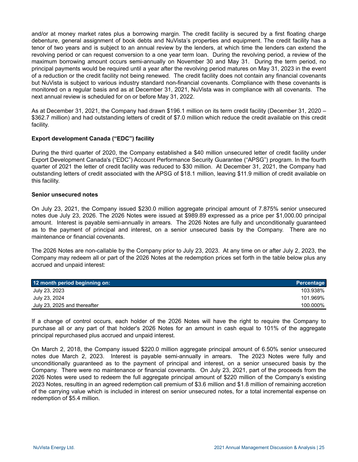and/or at money market rates plus a borrowing margin. The credit facility is secured by a first floating charge debenture, general assignment of book debts and NuVista's properties and equipment. The credit facility has a tenor of two years and is subject to an annual review by the lenders, at which time the lenders can extend the revolving period or can request conversion to a one year term loan. During the revolving period, a review of the maximum borrowing amount occurs semi-annually on November 30 and May 31. During the term period, no principal payments would be required until a year after the revolving period matures on May 31, 2023 in the event of a reduction or the credit facility not being renewed. The credit facility does not contain any financial covenants but NuVista is subject to various industry standard non-financial covenants. Compliance with these covenants is monitored on a regular basis and as at December 31, 2021, NuVista was in compliance with all covenants. The next annual review is scheduled for on or before May 31, 2022.

As at December 31, 2021, the Company had drawn \$196.1 million on its term credit facility (December 31, 2020 – \$362.7 million) and had outstanding letters of credit of \$7.0 million which reduce the credit available on this credit facility.

## **Export development Canada ("EDC") facility**

During the third quarter of 2020, the Company established a \$40 million unsecured letter of credit facility under Export Development Canada's ("EDC") Account Performance Security Guarantee ("APSG") program. In the fourth quarter of 2021 the letter of credit facility was reduced to \$30 million. At December 31, 2021, the Company had outstanding letters of credit associated with the APSG of \$18.1 million, leaving \$11.9 million of credit available on this facility.

## **Senior unsecured notes**

On July 23, 2021, the Company issued \$230.0 million aggregate principal amount of 7.875% senior unsecured notes due July 23, 2026. The 2026 Notes were issued at \$989.89 expressed as a price per \$1,000.00 principal amount. Interest is payable semi-annually in arrears. The 2026 Notes are fully and unconditionally guaranteed as to the payment of principal and interest, on a senior unsecured basis by the Company. There are no maintenance or financial covenants.

The 2026 Notes are non-callable by the Company prior to July 23, 2023. At any time on or after July 2, 2023, the Company may redeem all or part of the 2026 Notes at the redemption prices set forth in the table below plus any accrued and unpaid interest:

| 12 month period beginning on: | <b>Percentage</b> |
|-------------------------------|-------------------|
| July 23, 2023                 | 103.938%          |
| July 23, 2024                 | 101.969%          |
| July 23, 2025 and thereafter  | 100.000%          |

If a change of control occurs, each holder of the 2026 Notes will have the right to require the Company to purchase all or any part of that holder's 2026 Notes for an amount in cash equal to 101% of the aggregate principal repurchased plus accrued and unpaid interest.

On March 2, 2018, the Company issued \$220.0 million aggregate principal amount of 6.50% senior unsecured notes due March 2, 2023. Interest is payable semi-annually in arrears. The 2023 Notes were fully and unconditionally guaranteed as to the payment of principal and interest, on a senior unsecured basis by the Company. There were no maintenance or financial covenants. On July 23, 2021, part of the proceeds from the 2026 Notes were used to redeem the full aggregate principal amount of \$220 million of the Company's existing 2023 Notes, resulting in an agreed redemption call premium of \$3.6 million and \$1.8 million of remaining accretion of the carrying value which is included in interest on senior unsecured notes, for a total incremental expense on redemption of \$5.4 million.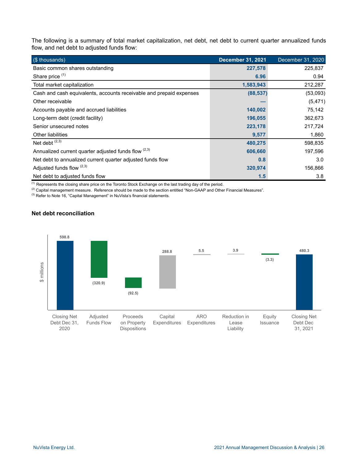The following is a summary of total market capitalization, net debt, net debt to current quarter annualized funds flow, and net debt to adjusted funds flow:

| (\$ thousands)                                                      | <b>December 31, 2021</b> | December 31, 2020 |
|---------------------------------------------------------------------|--------------------------|-------------------|
| Basic common shares outstanding                                     | 227,578                  | 225,837           |
| Share price (1)                                                     | 6.96                     | 0.94              |
| Total market capitalization                                         | 1,583,943                | 212,287           |
| Cash and cash equivalents, accounts receivable and prepaid expenses | (88, 537)                | (53,093)          |
| Other receivable                                                    |                          | (5, 471)          |
| Accounts payable and accrued liabilities                            | 140,002                  | 75,142            |
| Long-term debt (credit facility)                                    | 196,055                  | 362,673           |
| Senior unsecured notes                                              | 223,178                  | 217,724           |
| <b>Other liabilities</b>                                            | 9,577                    | 1,860             |
| Net debt $(2,3)$                                                    | 480,275                  | 598,835           |
| Annualized current quarter adjusted funds flow (2,3)                | 606,660                  | 197,596           |
| Net debt to annualized current quarter adjusted funds flow          | 0.8                      | 3.0               |
| Adjusted funds flow $(2,3)$                                         | 320,974                  | 156,866           |
| Net debt to adjusted funds flow                                     | 1.5                      | 3.8               |

(1) Represents the closing share price on the Toronto Stock Exchange on the last trading day of the period.

 $(2)$  Capital management measure. Reference should be made to the section entitled "Non-GAAP and Other Financial Measures".

(3) Refer to Note 16, "Capital Management" in NuVista's financial statements.

# **Net debt reconciliation**

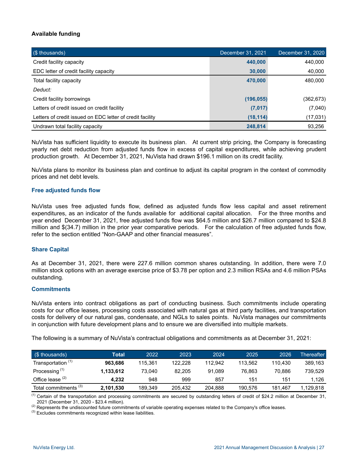# **Available funding**

| (\$ thousands)                                            | December 31, 2021 | December 31, 2020 |
|-----------------------------------------------------------|-------------------|-------------------|
| Credit facility capacity                                  | 440,000           | 440,000           |
| EDC letter of credit facility capacity                    | 30,000            | 40,000            |
| Total facility capacity                                   | 470,000           | 480,000           |
| Deduct:                                                   |                   |                   |
| Credit facility borrowings                                | (196, 055)        | (362, 673)        |
| Letters of credit issued on credit facility               | (7,017)           | (7,040)           |
| Letters of credit issued on EDC letter of credit facility | (18, 114)         | (17,031)          |
| Undrawn total facility capacity                           | 248,814           | 93,256            |

NuVista has sufficient liquidity to execute its business plan. At current strip pricing, the Company is forecasting yearly net debt reduction from adjusted funds flow in excess of capital expenditures, while achieving prudent production growth. At December 31, 2021, NuVista had drawn \$196.1 million on its credit facility.

NuVista plans to monitor its business plan and continue to adjust its capital program in the context of commodity prices and net debt levels.

## **Free adjusted funds flow**

NuVista uses free adjusted funds flow, defined as adjusted funds flow less capital and asset retirement expenditures, as an indicator of the funds available for additional capital allocation. For the three months and year ended December 31, 2021, free adjusted funds flow was \$64.5 million and \$26.7 million compared to \$24.8 million and \$(34.7) million in the prior year comparative periods. For the calculation of free adjusted funds flow, refer to the section entitled "Non-GAAP and other financial measures".

## **Share Capital**

As at December 31, 2021, there were 227.6 million common shares outstanding. In addition, there were 7.0 million stock options with an average exercise price of \$3.78 per option and 2.3 million RSAs and 4.6 million PSAs outstanding.

#### **Commitments**

NuVista enters into contract obligations as part of conducting business. Such commitments include operating costs for our office leases, processing costs associated with natural gas at third party facilities, and transportation costs for delivery of our natural gas, condensate, and NGLs to sales points. NuVista manages our commitments in conjunction with future development plans and to ensure we are diversified into multiple markets.

The following is a summary of NuVista's contractual obligations and commitments as at December 31, 2021:

| $\sqrt{\$}$ (\$ thousands)       | Total     | 2022    | 2023    | 2024    | 2025    | 2026    | Thereafter |
|----------------------------------|-----------|---------|---------|---------|---------|---------|------------|
| Transportation <sup>(1)</sup>    | 963.686   | 115.361 | 122.228 | 112.942 | 113.562 | 110.430 | 389,163    |
| Processing <sup>(1)</sup>        | 1.133.612 | 73.040  | 82.205  | 91.089  | 76.863  | 70.886  | 739.529    |
| Office lease $(2)$               | 4.232     | 948     | 999     | 857     | 151     | 151     | 1.126      |
| Total commitments <sup>(3)</sup> | 2,101,530 | 189.349 | 205.432 | 204,888 | 190.576 | 181.467 | 1,129,818  |

(1) Certain of the transportation and processing commitments are secured by outstanding letters of credit of \$24.2 million at December 31, 2021 (December 31, 2020 - \$23.4 million).

<sup>(2)</sup> Represents the undiscounted future commitments of variable operating expenses related to the Company's office leases.

 $<sup>(3)</sup>$  Excludes commitments recognized within lease liabilities.</sup>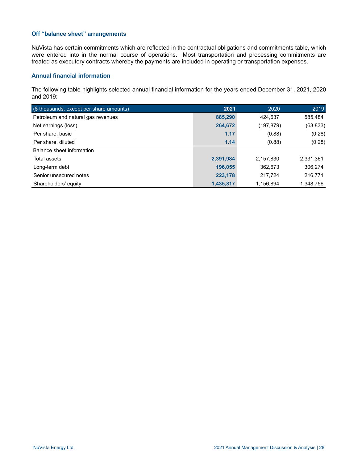## **Off "balance sheet" arrangements**

NuVista has certain commitments which are reflected in the contractual obligations and commitments table, which were entered into in the normal course of operations. Most transportation and processing commitments are treated as executory contracts whereby the payments are included in operating or transportation expenses.

# **Annual financial information**

The following table highlights selected annual financial information for the years ended December 31, 2021, 2020 and 2019:

| (\$ thousands, except per share amounts) | 2021      | 2020      | 2019      |
|------------------------------------------|-----------|-----------|-----------|
| Petroleum and natural gas revenues       | 885,290   | 424,637   | 585,484   |
| Net earnings (loss)                      | 264,672   | (197,879) | (63,833)  |
| Per share, basic                         | 1.17      | (0.88)    | (0.28)    |
| Per share, diluted                       | 1.14      | (0.88)    | (0.28)    |
| Balance sheet information                |           |           |           |
| Total assets                             | 2,391,984 | 2,157,830 | 2,331,361 |
| Long-term debt                           | 196,055   | 362,673   | 306,274   |
| Senior unsecured notes                   | 223,178   | 217,724   | 216,771   |
|                                          |           |           |           |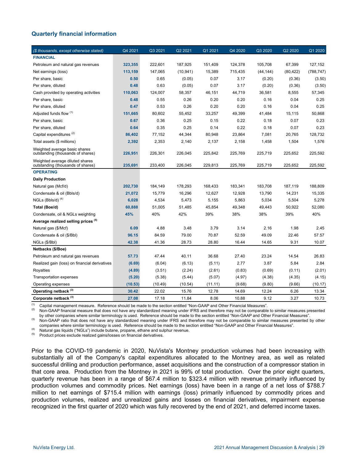# **Quarterly financial information**

| (\$ thousands, except otherwise stated)                              | Q4 2021 | Q3 2021 | Q2 2021   | Q1 2021 | Q4 2020 | Q3 2020   | Q2 2020   | Q1 2020    |
|----------------------------------------------------------------------|---------|---------|-----------|---------|---------|-----------|-----------|------------|
| <b>FINANCIAL</b>                                                     |         |         |           |         |         |           |           |            |
| Petroleum and natural gas revenues                                   | 323,355 | 222,601 | 187,925   | 151,409 | 124,378 | 105,708   | 67,399    | 127,152    |
| Net earnings (loss)                                                  | 113,159 | 147,065 | (10, 941) | 15,389  | 715,435 | (44, 144) | (80, 422) | (788, 747) |
| Per share, basic                                                     | 0.50    | 0.65    | (0.05)    | 0.07    | 3.17    | (0.20)    | (0.36)    | (3.50)     |
| Per share, diluted                                                   | 0.48    | 0.63    | (0.05)    | 0.07    | 3.17    | (0.20)    | (0.36)    | (3.50)     |
| Cash provided by operating activities                                | 110,063 | 124,007 | 58,357    | 46,151  | 44,719  | 36,581    | 8,555     | 57,345     |
| Per share, basic                                                     | 0.48    | 0.55    | 0.26      | 0.20    | 0.20    | 0.16      | 0.04      | 0.25       |
| Per share, diluted                                                   | 0.47    | 0.53    | 0.26      | 0.20    | 0.20    | 0.16      | 0.04      | 0.25       |
| Adjusted funds flow (1)                                              | 151,665 | 80,602  | 55,452    | 33,257  | 49,399  | 41,484    | 15,115    | 50,868     |
| Per share, basic                                                     | 0.67    | 0.36    | 0.25      | 0.15    | 0.22    | 0.18      | 0.07      | 0.23       |
| Per share, diluted                                                   | 0.64    | 0.35    | 0.25      | 0.14    | 0.22    | 0.18      | 0.07      | 0.23       |
| Capital expenditures <sup>(2)</sup>                                  | 86,402  | 77,152  | 44,344    | 80,948  | 23,864  | 7,081     | 20,765    | 128,732    |
| Total assets (\$ millions)                                           | 2,392   | 2,353   | 2,140     | 2,137   | 2,158   | 1,458     | 1,504     | 1,576      |
| Weighted average basic shares<br>outstanding (thousands of shares)   | 226,951 | 226,301 | 226,045   | 225,842 | 225,769 | 225,719   | 225,652   | 225,592    |
| Weighted average diluted shares<br>outstanding (thousands of shares) | 235,691 | 233,400 | 226,045   | 229,813 | 225,769 | 225,719   | 225.652   | 225,592    |
| <b>OPERATING</b>                                                     |         |         |           |         |         |           |           |            |
| <b>Daily Production</b>                                              |         |         |           |         |         |           |           |            |
| Natural gas (Mcf/d)                                                  | 202,730 | 184,149 | 178,293   | 168,433 | 183,341 | 183,708   | 187,119   | 188,809    |
| Condensate & oil (Bbls/d)                                            | 21,072  | 15,779  | 16,296    | 12,627  | 12,928  | 13,790    | 14,231    | 15,335     |
| $NGLs$ (Bbls/d) $(4)$                                                | 6,028   | 4,534   | 5,473     | 5,155   | 5,863   | 5,034     | 5,504     | 5,278      |
| Total (Boe/d)                                                        | 60,888  | 51,005  | 51,485    | 45,854  | 49,348  | 49,443    | 50,922    | 52,080     |
| Condensate, oil & NGLs weighting                                     | 45%     | 40%     | 42%       | 39%     | 38%     | 38%       | 39%       | 40%        |
| Average realized selling prices (5)                                  |         |         |           |         |         |           |           |            |
| Natural gas (\$/Mcf)                                                 | 6.09    | 4.88    | 3.48      | 3.79    | 3.14    | 2.16      | 1.98      | 2.45       |
| Condensate & oil (\$/Bbl)                                            | 96.15   | 84.59   | 79.00     | 70.87   | 52.59   | 49.09     | 22.46     | 57.57      |
| NGLs (\$/Bbl)                                                        | 42.38   | 41.36   | 28.73     | 28.80   | 16.44   | 14.65     | 9.31      | 10.07      |
| Netbacks (\$/Boe)                                                    |         |         |           |         |         |           |           |            |
| Petroleum and natural gas revenues                                   | 57.73   | 47.44   | 40.11     | 36.68   | 27.40   | 23.24     | 14.54     | 26.83      |
| Realized gain (loss) on financial derivatives                        | (6.69)  | (6.04)  | (6.13)    | (5.11)  | 2.77    | 3.87      | 5.84      | 2.84       |
| Royalties                                                            | (4.89)  | (3.51)  | (2.24)    | (2.61)  | (0.83)  | (0.69)    | (0.11)    | (2.01)     |
| <b>Transportation expenses</b>                                       | (5.20)  | (5.38)  | (5.44)    | (5.07)  | (4.97)  | (4.38)    | (4.35)    | (4.15)     |
| Operating expenses                                                   | (10.53) | (10.49) | (10.54)   | (11.11) | (9.68)  | (9.80)    | (9.66)    | (10.17)    |
| Operating netback (3)                                                | 30.42   | 22.02   | 15.76     | 12.78   | 14.69   | 12.24     | 6.26      | 13.34      |
| Corporate netback <sup>(3)</sup>                                     | 27.08   | 17.18   | 11.84     | 8.06    | 10.88   | 9.12      | 3.27      | 10.73      |

(1) Capital management measure. Reference should be made to the section entitled "Non-GAAP and Other Financial Measures".<br>(2) Non-GAAP financial measure that does not have any standardized meaning under IEPS and therefore

Non-GAAP financial measure that does not have any standardized meaning under IFRS and therefore may not be comparable to similar measures presented by other companies where similar terminology is used. Reference should be made to the section entitled "Non-GAAP and Other Financial Measures".

<sup>(3)</sup> Non-GAAP ratio that does not have any standardized meaning under IFRS and therefore may not be comparable to similar measures presented by other companies where similar terminology is used. Reference should be made to the section entitled "Non-GAAP and Other Financial Measures".

(4) Natural gas liquids ("NGLs") include butane, propane, ethane and sulphur revenue.

Product prices exclude realized gains/losses on financial derivatives.

Prior to the COVID-19 pandemic in 2020, NuVista's Montney production volumes had been increasing with substantially all of the Company's capital expenditures allocated to the Montney area, as well as related successful drilling and production performance, asset acquisitions and the construction of a compressor station in that core area. Production from the Montney in 2021 is 99% of total production. Over the prior eight quarters, quarterly revenue has been in a range of \$67.4 million to \$323.4 million with revenue primarily influenced by production volumes and commodity prices. Net earnings (loss) have been in a range of a net loss of \$788.7 million to net earnings of \$715.4 million with earnings (loss) primarily influenced by commodity prices and production volumes, realized and unrealized gains and losses on financial derivatives, impairment expense recognized in the first quarter of 2020 which was fully recovered by the end of 2021, and deferred income taxes.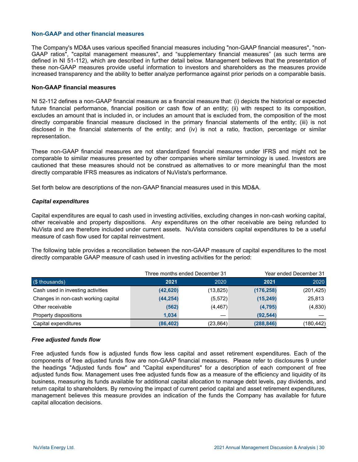#### **Non-GAAP and other financial measures**

The Company's MD&A uses various specified financial measures including "non-GAAP financial measures", "non-GAAP ratios", "capital management measures", and "supplementary financial measures" (as such terms are defined in NI 51-112), which are described in further detail below. Management believes that the presentation of these non-GAAP measures provide useful information to investors and shareholders as the measures provide increased transparency and the ability to better analyze performance against prior periods on a comparable basis.

#### **Non-GAAP financial measures**

NI 52-112 defines a non-GAAP financial measure as a financial measure that: (i) depicts the historical or expected future financial performance, financial position or cash flow of an entity; (ii) with respect to its composition, excludes an amount that is included in, or includes an amount that is excluded from, the composition of the most directly comparable financial measure disclosed in the primary financial statements of the entity; (iii) is not disclosed in the financial statements of the entity; and (iv) is not a ratio, fraction, percentage or similar representation.

These non-GAAP financial measures are not standardized financial measures under IFRS and might not be comparable to similar measures presented by other companies where similar terminology is used. Investors are cautioned that these measures should not be construed as alternatives to or more meaningful than the most directly comparable IFRS measures as indicators of NuVista's performance.

Set forth below are descriptions of the non-GAAP financial measures used in this MD&A.

## *Capital expenditures*

Capital expenditures are equal to cash used in investing activities, excluding changes in non-cash working capital, other receivable and property dispositions. Any expenditures on the other receivable are being refunded to NuVista and are therefore included under current assets. NuVista considers capital expenditures to be a useful measure of cash flow used for capital reinvestment.

The following table provides a reconciliation between the non-GAAP measure of capital expenditures to the most directly comparable GAAP measure of cash used in investing activities for the period:

|                                     |           | Three months ended December 31 | Year ended December 31 |            |  |
|-------------------------------------|-----------|--------------------------------|------------------------|------------|--|
| (\$ thousands)                      | 2021      | 2020                           | 2021                   | 2020       |  |
| Cash used in investing activities   | (42, 620) | (13, 825)                      | (176, 258)             | (201, 425) |  |
| Changes in non-cash working capital | (44, 254) | (5, 572)                       | (15, 249)              | 25,813     |  |
| Other receivable                    | (562)     | (4, 467)                       | (4, 795)               | (4,830)    |  |
| Property dispositions               | 1.034     | __                             | (92, 544)              |            |  |
| Capital expenditures                | (86, 402) | (23, 864)                      | (288, 846)             | (180, 442) |  |

## *Free adjusted funds flow*

Free adjusted funds flow is adjusted funds flow less capital and asset retirement expenditures. Each of the components of free adjusted funds flow are non-GAAP financial measures. Please refer to disclosures 9 under the headings "Adjusted funds flow" and "Capital expenditures" for a description of each component of free adjusted funds flow. Management uses free adjusted funds flow as a measure of the efficiency and liquidity of its business, measuring its funds available for additional capital allocation to manage debt levels, pay dividends, and return capital to shareholders. By removing the impact of current period capital and asset retirement expenditures, management believes this measure provides an indication of the funds the Company has available for future capital allocation decisions.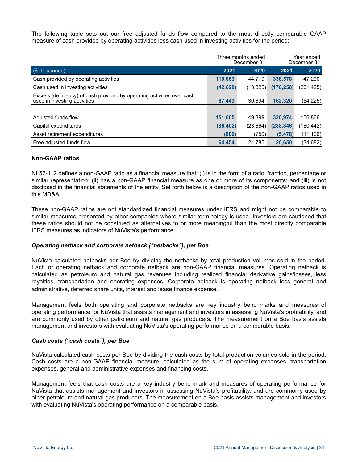The following table sets out our free adjusted funds flow compared to the most directly comparable GAAP measure of cash provided by operating activities less cash used in investing activities for the period:

|                                                                                                        |           | Three months ended<br>December 31 | Year ended<br>December 31 |            |  |
|--------------------------------------------------------------------------------------------------------|-----------|-----------------------------------|---------------------------|------------|--|
| (\$ thousands)                                                                                         | 2021      | 2020                              | 2021                      | 2020       |  |
| Cash provided by operating activities                                                                  | 110,063   | 44.719                            | 338,578                   | 147,200    |  |
| Cash used in investing activities                                                                      | (42, 620) | (13, 825)                         | (176, 258)                | (201, 425) |  |
| Excess (deficiency) of cash provided by operating activities over cash<br>used in investing activities | 67,443    | 30.894                            | 162,320                   | (54,225)   |  |
|                                                                                                        |           |                                   |                           |            |  |
| Adjusted funds flow                                                                                    | 151,665   | 49.399                            | 320.974                   | 156,866    |  |
| Capital expenditures                                                                                   | (86, 402) | (23, 864)                         | (288, 846)                | (180,442)  |  |
| Asset retirement expenditures                                                                          | (809)     | (750)                             | (5, 478)                  | (11, 106)  |  |
| Free adjusted funds flow                                                                               | 64.454    | 24.785                            | 26,650                    | (34,682)   |  |

## **Non-GAAP ratios**

NI 52-112 defines a non-GAAP ratio as a financial measure that: (i) is in the form of a ratio, fraction, percentage or similar representation; (ii) has a non-GAAP financial measure as one or more of its components; and (iii) is not disclosed in the financial statements of the entity. Set forth below is a description of the non-GAAP ratios used in this MD&A.

These non-GAAP ratios are not standardized financial measures under IFRS and might not be comparable to similar measures presented by other companies where similar terminology is used. Investors are cautioned that these ratios should not be construed as alternatives to or more meaningful than the most directly comparable IFRS measures as indicators of NuVista's performance.

#### *Operating netback and corporate netback ("netbacks"), per Boe*

NuVista calculated netbacks per Boe by dividing the netbacks by total production volumes sold in the period. Each of operating netback and corporate netback are non-GAAP financial measures. Operating netback is calculated as petroleum and natural gas revenues including realized financial derivative gains/losses, less royalties, transportation and operating expenses. Corporate netback is operating netback less general and administrative, deferred share units, interest and lease finance expense.

Management feels both operating and corporate netbacks are key industry benchmarks and measures of operating performance for NuVista that assists management and investors in assessing NuVista's profitability, and are commonly used by other petroleum and natural gas producers. The measurement on a Boe basis assists management and investors with evaluating NuVista's operating performance on a comparable basis.

#### *Cash costs ("cash costs"), per Boe*

NuVista calculated cash costs per Boe by dividing the cash costs by total production volumes sold in the period. Cash costs are a non-GAAP financial measure, calculated as the sum of operating expenses, transportation expenses, general and administrative expenses and financing costs.

Management feels that cash costs are a key industry benchmark and measures of operating performance for NuVista that assists management and investors in assessing NuVista's profitability, and are commonly used by other petroleum and natural gas producers. The measurement on a Boe basis assists management and investors with evaluating NuVista's operating performance on a comparable basis.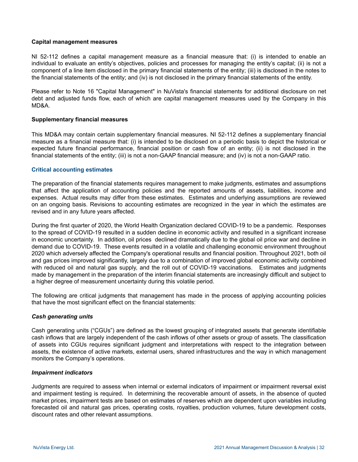## **Capital management measures**

NI 52-112 defines a capital management measure as a financial measure that: (i) is intended to enable an individual to evaluate an entity's objectives, policies and processes for managing the entity's capital; (ii) is not a component of a line item disclosed in the primary financial statements of the entity; (iii) is disclosed in the notes to the financial statements of the entity; and (iv) is not disclosed in the primary financial statements of the entity.

Please refer to Note 16 "Capital Management" in NuVista's financial statements for additional disclosure on net debt and adjusted funds flow, each of which are capital management measures used by the Company in this MD&A.

#### **Supplementary financial measures**

This MD&A may contain certain supplementary financial measures. NI 52-112 defines a supplementary financial measure as a financial measure that: (i) is intended to be disclosed on a periodic basis to depict the historical or expected future financial performance, financial position or cash flow of an entity; (ii) is not disclosed in the financial statements of the entity; (iii) is not a non-GAAP financial measure; and (iv) is not a non-GAAP ratio.

#### **Critical accounting estimates**

The preparation of the financial statements requires management to make judgments, estimates and assumptions that affect the application of accounting policies and the reported amounts of assets, liabilities, income and expenses. Actual results may differ from these estimates. Estimates and underlying assumptions are reviewed on an ongoing basis. Revisions to accounting estimates are recognized in the year in which the estimates are revised and in any future years affected.

During the first quarter of 2020, the World Health Organization declared COVID-19 to be a pandemic. Responses to the spread of COVID-19 resulted in a sudden decline in economic activity and resulted in a significant increase in economic uncertainty. In addition, oil prices declined dramatically due to the global oil price war and decline in demand due to COVID-19. These events resulted in a volatile and challenging economic environment throughout 2020 which adversely affected the Company's operational results and financial position. Throughout 2021, both oil and gas prices improved significantly, largely due to a combination of improved global economic activity combined with reduced oil and natural gas supply, and the roll out of COVID-19 vaccinations. Estimates and judgments made by management in the preparation of the interim financial statements are increasingly difficult and subject to a higher degree of measurement uncertainty during this volatile period.

The following are critical judgments that management has made in the process of applying accounting policies that have the most significant effect on the financial statements:

## *Cash generating units*

Cash generating units ("CGUs") are defined as the lowest grouping of integrated assets that generate identifiable cash inflows that are largely independent of the cash inflows of other assets or group of assets. The classification of assets into CGUs requires significant judgment and interpretations with respect to the integration between assets, the existence of active markets, external users, shared infrastructures and the way in which management monitors the Company's operations.

#### *Impairment indicators*

Judgments are required to assess when internal or external indicators of impairment or impairment reversal exist and impairment testing is required. In determining the recoverable amount of assets, in the absence of quoted market prices, impairment tests are based on estimates of reserves which are dependent upon variables including forecasted oil and natural gas prices, operating costs, royalties, production volumes, future development costs, discount rates and other relevant assumptions.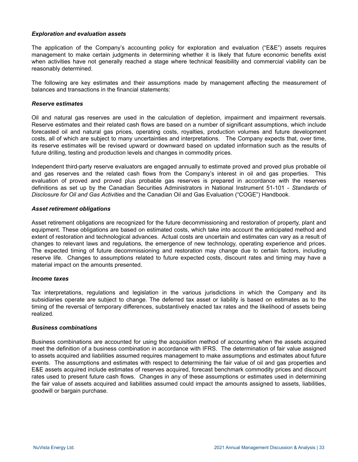#### *Exploration and evaluation assets*

The application of the Company's accounting policy for exploration and evaluation ("E&E") assets requires management to make certain judgments in determining whether it is likely that future economic benefits exist when activities have not generally reached a stage where technical feasibility and commercial viability can be reasonably determined.

The following are key estimates and their assumptions made by management affecting the measurement of balances and transactions in the financial statements:

#### *Reserve estimates*

Oil and natural gas reserves are used in the calculation of depletion, impairment and impairment reversals. Reserve estimates and their related cash flows are based on a number of significant assumptions, which include forecasted oil and natural gas prices, operating costs, royalties, production volumes and future development costs, all of which are subject to many uncertainties and interpretations. The Company expects that, over time, its reserve estimates will be revised upward or downward based on updated information such as the results of future drilling, testing and production levels and changes in commodity prices.

Independent third-party reserve evaluators are engaged annually to estimate proved and proved plus probable oil and gas reserves and the related cash flows from the Company's interest in oil and gas properties. This evaluation of proved and proved plus probable gas reserves is prepared in accordance with the reserves definitions as set up by the Canadian Securities Administrators in National Instrument 51-101 - *Standards of Disclosure for Oil and Gas Activities* and the Canadian Oil and Gas Evaluation ("COGE") Handbook.

#### *Asset retirement obligations*

Asset retirement obligations are recognized for the future decommissioning and restoration of property, plant and equipment. These obligations are based on estimated costs, which take into account the anticipated method and extent of restoration and technological advances. Actual costs are uncertain and estimates can vary as a result of changes to relevant laws and regulations, the emergence of new technology, operating experience and prices. The expected timing of future decommissioning and restoration may change due to certain factors, including reserve life. Changes to assumptions related to future expected costs, discount rates and timing may have a material impact on the amounts presented.

#### *Income taxes*

Tax interpretations, regulations and legislation in the various jurisdictions in which the Company and its subsidiaries operate are subject to change. The deferred tax asset or liability is based on estimates as to the timing of the reversal of temporary differences, substantively enacted tax rates and the likelihood of assets being realized.

#### *Business combinations*

Business combinations are accounted for using the acquisition method of accounting when the assets acquired meet the definition of a business combination in accordance with IFRS. The determination of fair value assigned to assets acquired and liabilities assumed requires management to make assumptions and estimates about future events. The assumptions and estimates with respect to determining the fair value of oil and gas properties and E&E assets acquired include estimates of reserves acquired, forecast benchmark commodity prices and discount rates used to present future cash flows. Changes in any of these assumptions or estimates used in determining the fair value of assets acquired and liabilities assumed could impact the amounts assigned to assets, liabilities, goodwill or bargain purchase.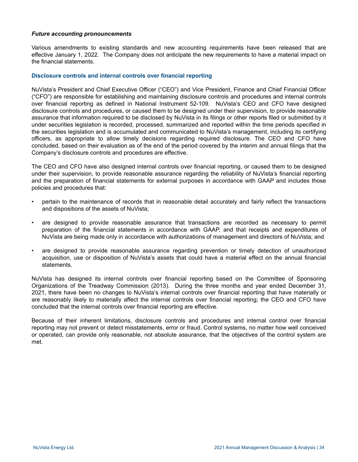#### *Future accounting pronouncements*

Various amendments to existing standards and new accounting requirements have been released that are effective January 1, 2022. The Company does not anticipate the new requirements to have a material impact on the financial statements.

# **Disclosure controls and internal controls over financial reporting**

NuVista's President and Chief Executive Officer ("CEO") and Vice President, Finance and Chief Financial Officer ("CFO") are responsible for establishing and maintaining disclosure controls and procedures and internal controls over financial reporting as defined in National Instrument 52-109. NuVista's CEO and CFO have designed disclosure controls and procedures, or caused them to be designed under their supervision, to provide reasonable assurance that information required to be disclosed by NuVista in its filings or other reports filed or submitted by it under securities legislation is recorded, processed, summarized and reported within the time periods specified in the securities legislation and is accumulated and communicated to NuVista's management, including its certifying officers, as appropriate to allow timely decisions regarding required disclosure. The CEO and CFO have concluded, based on their evaluation as of the end of the period covered by the interim and annual filings that the Company's disclosure controls and procedures are effective.

The CEO and CFO have also designed internal controls over financial reporting, or caused them to be designed under their supervision, to provide reasonable assurance regarding the reliability of NuVista's financial reporting and the preparation of financial statements for external purposes in accordance with GAAP and includes those policies and procedures that:

- pertain to the maintenance of records that in reasonable detail accurately and fairly reflect the transactions and dispositions of the assets of NuVista;
- are designed to provide reasonable assurance that transactions are recorded as necessary to permit preparation of the financial statements in accordance with GAAP, and that receipts and expenditures of NuVista are being made only in accordance with authorizations of management and directors of NuVista; and
- are designed to provide reasonable assurance regarding prevention or timely detection of unauthorized acquisition, use or disposition of NuVista's assets that could have a material effect on the annual financial statements.

NuVista has designed its internal controls over financial reporting based on the Committee of Sponsoring Organizations of the Treadway Commission (2013). During the three months and year ended December 31, 2021, there have been no changes to NuVista's internal controls over financial reporting that have materially or are reasonably likely to materially affect the internal controls over financial reporting; the CEO and CFO have concluded that the internal controls over financial reporting are effective.

Because of their inherent limitations, disclosure controls and procedures and internal control over financial reporting may not prevent or detect misstatements, error or fraud. Control systems, no matter how well conceived or operated, can provide only reasonable, not absolute assurance, that the objectives of the control system are met.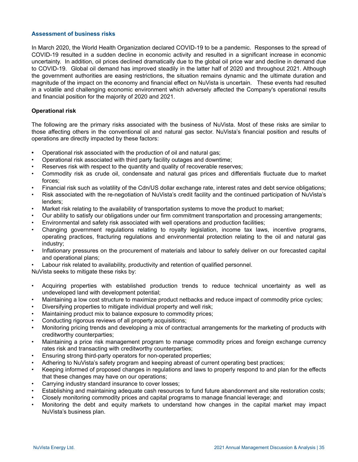#### **Assessment of business risks**

In March 2020, the World Health Organization declared COVID-19 to be a pandemic. Responses to the spread of COVID-19 resulted in a sudden decline in economic activity and resulted in a significant increase in economic uncertainty. In addition, oil prices declined dramatically due to the global oil price war and decline in demand due to COVID-19. Global oil demand has improved steadily in the latter half of 2020 and throughout 2021. Although the government authorities are easing restrictions, the situation remains dynamic and the ultimate duration and magnitude of the impact on the economy and financial effect on NuVista is uncertain. These events had resulted in a volatile and challenging economic environment which adversely affected the Company's operational results and financial position for the majority of 2020 and 2021.

# **Operational risk**

The following are the primary risks associated with the business of NuVista. Most of these risks are similar to those affecting others in the conventional oil and natural gas sector. NuVista's financial position and results of operations are directly impacted by these factors:

- **•** Operational risk associated with the production of oil and natural gas;
- Operational risk associated with third party facility outages and downtime;
- Reserves risk with respect to the quantity and quality of recoverable reserves;
- Commodity risk as crude oil, condensate and natural gas prices and differentials fluctuate due to market forces;
- Financial risk such as volatility of the Cdn/US dollar exchange rate, interest rates and debt service obligations;
- Risk associated with the re-negotiation of NuVista's credit facility and the continued participation of NuVista's lenders;
- Market risk relating to the availability of transportation systems to move the product to market;
- Our ability to satisfy our obligations under our firm commitment transportation and processing arrangements;
- Environmental and safety risk associated with well operations and production facilities;
- Changing government regulations relating to royalty legislation, income tax laws, incentive programs, operating practices, fracturing regulations and environmental protection relating to the oil and natural gas industry;
- Inflationary pressures on the procurement of materials and labour to safely deliver on our forecasted capital and operational plans;
- Labour risk related to availability, productivity and retention of qualified personnel.

NuVista seeks to mitigate these risks by:

- Acquiring properties with established production trends to reduce technical uncertainty as well as undeveloped land with development potential;
- Maintaining a low cost structure to maximize product netbacks and reduce impact of commodity price cycles;
- Diversifying properties to mitigate individual property and well risk;
- Maintaining product mix to balance exposure to commodity prices;
- Conducting rigorous reviews of all property acquisitions;
- Monitoring pricing trends and developing a mix of contractual arrangements for the marketing of products with creditworthy counterparties;
- Maintaining a price risk management program to manage commodity prices and foreign exchange currency rates risk and transacting with creditworthy counterparties;
- Ensuring strong third-party operators for non-operated properties;
- Adhering to NuVista's safety program and keeping abreast of current operating best practices;
- Keeping informed of proposed changes in regulations and laws to properly respond to and plan for the effects that these changes may have on our operations;
- Carrying industry standard insurance to cover losses;
- Establishing and maintaining adequate cash resources to fund future abandonment and site restoration costs;
- Closely monitoring commodity prices and capital programs to manage financial leverage; and
- Monitoring the debt and equity markets to understand how changes in the capital market may impact NuVista's business plan.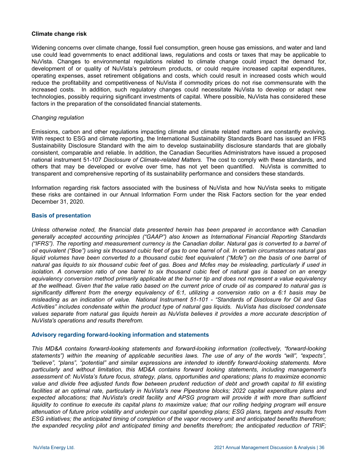#### **Climate change risk**

Widening concerns over climate change, fossil fuel consumption, green house gas emissions, and water and land use could lead governments to enact additional laws, regulations and costs or taxes that may be applicable to NuVista. Changes to environmental regulations related to climate change could impact the demand for, development of or quality of NuVista's petroleum products, or could require increased capital expenditures, operating expenses, asset retirement obligations and costs, which could result in increased costs which would reduce the profitability and competitiveness of NuVista if commodity prices do not rise commensurate with the increased costs. In addition, such regulatory changes could necessitate NuVista to develop or adapt new technologies, possibly requiring significant investments of capital. Where possible, NuVista has considered these factors in the preparation of the consolidated financial statements.

#### *Changing regulation*

Emissions, carbon and other regulations impacting climate and climate related matters are constantly evolving. With respect to ESG and climate reporting, the International Sustainability Standards Board has issued an IFRS Sustainability Disclosure Standard with the aim to develop sustainability disclosure standards that are globally consistent, comparable and reliable. In addition, the Canadian Securities Administrators have issued a proposed national instrument 51-107 *Disclosure of Climate-related Matters.* The cost to comply with these standards, and others that may be developed or evolve over time, has not yet been quantified. NuVista is committed to transparent and comprehensive reporting of its sustainability performance and considers these standards.

Information regarding risk factors associated with the business of NuVista and how NuVista seeks to mitigate these risks are contained in our Annual Information Form under the Risk Factors section for the year ended December 31, 2020.

#### **Basis of presentation**

*Unless otherwise noted, the financial data presented herein has been prepared in accordance with Canadian generally accepted accounting principles ("GAAP") also known as International Financial Reporting Standards ("IFRS"). The reporting and measurement currency is the Canadian dollar. Natural gas is converted to a barrel of oil equivalent ("Boe") using six thousand cubic feet of gas to one barrel of oil. In certain circumstances natural gas*  liquid volumes have been converted to a thousand cubic feet equivalent ("Mcfe") on the basis of one barrel of *natural gas liquids to six thousand cubic feet of gas. Boes and Mcfes may be misleading, particularly if used in isolation. A conversion ratio of one barrel to six thousand cubic feet of natural gas is based on an energy equivalency conversion method primarily applicable at the burner tip and does not represent a value equivalency at the wellhead. Given that the value ratio based on the current price of crude oil as compared to natural gas is significantly different from the energy equivalency of 6:1, utilizing a conversion ratio on a 6:1 basis may be misleading as an indication of value. National Instrument 51-101 - "Standards of Disclosure for Oil and Gas Activities" includes condensate within the product type of natural gas liquids. NuVista has disclosed condensate values separate from natural gas liquids herein as NuVista believes it provides a more accurate description of NuVista's operations and results therefrom.* 

#### **Advisory regarding forward-looking information and statements**

*This MD&A contains forward-looking statements and forward-looking information (collectively, "forward-looking statements") within the meaning of applicable securities laws. The use of any of the words "will", "expects", "believe", "plans", "potential" and similar expressions are intended to identify forward-looking statements. More particularly and without limitation, this MD&A contains forward looking statements, including management's assessment of: NuVista's future focus, strategy, plans, opportunities and operations; plans to maximize economic value and divide free adjusted funds flow between prudent reduction of debt and growth capital to fill existing facilities at an optimal rate, particularly in NuVista's new Pipestone blocks; 2022 capital expenditure plans and*  expected allocations; that NuVista's credit facility and APSG program will provide it with more than sufficient *liquidity to continue to execute its capital plans to maximize value; that our rolling hedging program will ensure attenuation of future price volatility and underpin our capital spending plans; ESG plans, targets and results from ESG initiatives; the anticipated timing of completion of the vapor recovery unit and anticipated benefits therefrom; the expanded recycling pilot and anticipated timing and benefits therefrom; the anticipated reduction of TRIF;*